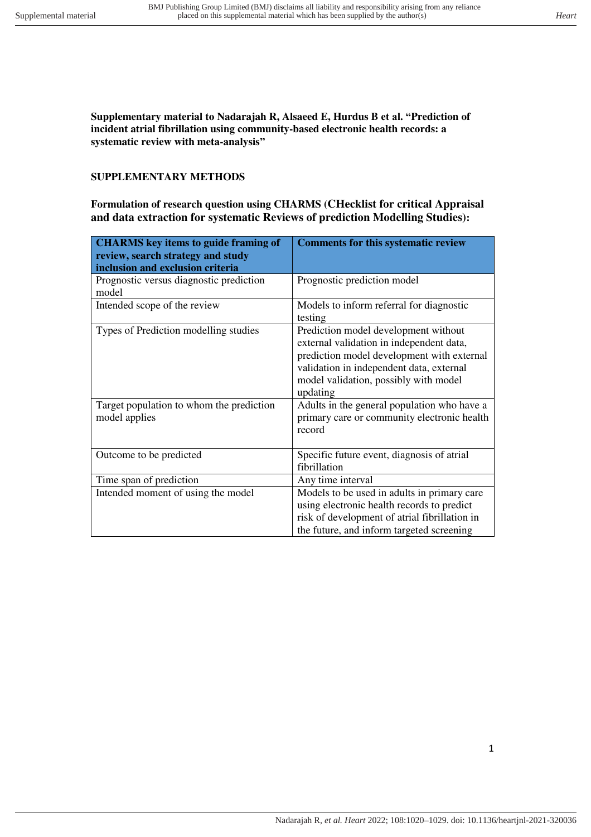**Supplementary material to Nadarajah R, Alsaeed E, Hurdus B et al. "Prediction of incident atrial fibrillation using community-based electronic health records: a systematic review with meta-analysis"**

#### **SUPPLEMENTARY METHODS**

**Formulation of research question using CHARMS (CHecklist for critical Appraisal and data extraction for systematic Reviews of prediction Modelling Studies):** 

| <b>CHARMS</b> key items to guide framing of<br>review, search strategy and study<br>inclusion and exclusion criteria | <b>Comments for this systematic review</b>                                                                                                                                                                                      |
|----------------------------------------------------------------------------------------------------------------------|---------------------------------------------------------------------------------------------------------------------------------------------------------------------------------------------------------------------------------|
| Prognostic versus diagnostic prediction<br>model                                                                     | Prognostic prediction model                                                                                                                                                                                                     |
| Intended scope of the review                                                                                         | Models to inform referral for diagnostic<br>testing                                                                                                                                                                             |
| Types of Prediction modelling studies                                                                                | Prediction model development without<br>external validation in independent data,<br>prediction model development with external<br>validation in independent data, external<br>model validation, possibly with model<br>updating |
| Target population to whom the prediction<br>model applies                                                            | Adults in the general population who have a<br>primary care or community electronic health<br>record                                                                                                                            |
| Outcome to be predicted                                                                                              | Specific future event, diagnosis of atrial<br>fibrillation                                                                                                                                                                      |
| Time span of prediction                                                                                              | Any time interval                                                                                                                                                                                                               |
| Intended moment of using the model                                                                                   | Models to be used in adults in primary care<br>using electronic health records to predict<br>risk of development of atrial fibrillation in<br>the future, and inform targeted screening                                         |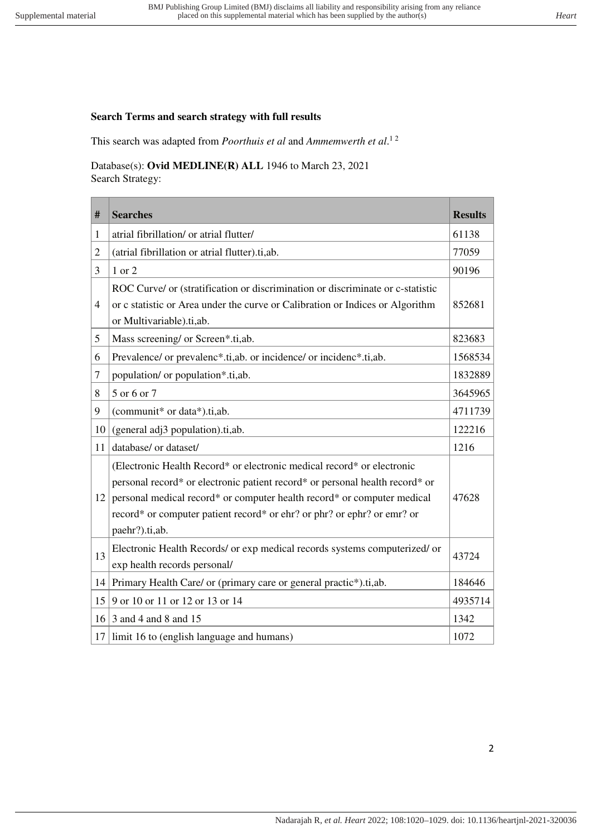# **Search Terms and search strategy with full results**

This search was adapted from *Poorthuis et al* and *Ammemwerth et al*. 1 2

Database(s): **Ovid MEDLINE(R) ALL** 1946 to March 23, 2021 Search Strategy:

| #              | <b>Searches</b>                                                                                                                                                                                                                                                                                                                | <b>Results</b> |
|----------------|--------------------------------------------------------------------------------------------------------------------------------------------------------------------------------------------------------------------------------------------------------------------------------------------------------------------------------|----------------|
| 1              | atrial fibrillation/ or atrial flutter/                                                                                                                                                                                                                                                                                        | 61138          |
| $\overline{2}$ | (atrial fibrillation or atrial flutter).ti,ab.                                                                                                                                                                                                                                                                                 | 77059          |
| 3              | 1 or 2                                                                                                                                                                                                                                                                                                                         | 90196          |
| $\overline{4}$ | ROC Curve/ or (stratification or discrimination or discriminate or c-statistic<br>or c statistic or Area under the curve or Calibration or Indices or Algorithm<br>or Multivariable).ti,ab.                                                                                                                                    | 852681         |
| 5              | Mass screening/ or Screen*.ti,ab.                                                                                                                                                                                                                                                                                              | 823683         |
| 6              | Prevalence/ or prevalenc*.ti,ab. or incidence/ or incidenc*.ti,ab.                                                                                                                                                                                                                                                             | 1568534        |
| 7              | population/ or population*.ti,ab.                                                                                                                                                                                                                                                                                              | 1832889        |
| 8              | 5 or 6 or 7                                                                                                                                                                                                                                                                                                                    | 3645965        |
| 9              | (communit* or data*).ti,ab.                                                                                                                                                                                                                                                                                                    | 4711739        |
| 10             | (general adj3 population).ti,ab.                                                                                                                                                                                                                                                                                               | 122216         |
| 11             | database/ or dataset/                                                                                                                                                                                                                                                                                                          | 1216           |
| 12             | (Electronic Health Record* or electronic medical record* or electronic<br>personal record* or electronic patient record* or personal health record* or<br>personal medical record* or computer health record* or computer medical<br>record* or computer patient record* or ehr? or phr? or ephr? or emr? or<br>paehr?).ti,ab. | 47628          |
| 13             | Electronic Health Records/ or exp medical records systems computerized/ or<br>exp health records personal/                                                                                                                                                                                                                     | 43724          |
| 14             | Primary Health Care/ or (primary care or general practic*).ti,ab.                                                                                                                                                                                                                                                              | 184646         |
| 15             | 9 or 10 or 11 or 12 or 13 or 14                                                                                                                                                                                                                                                                                                | 4935714        |
| 16             | 3 and 4 and 8 and 15                                                                                                                                                                                                                                                                                                           | 1342           |
| 17             | limit 16 to (english language and humans)                                                                                                                                                                                                                                                                                      | 1072           |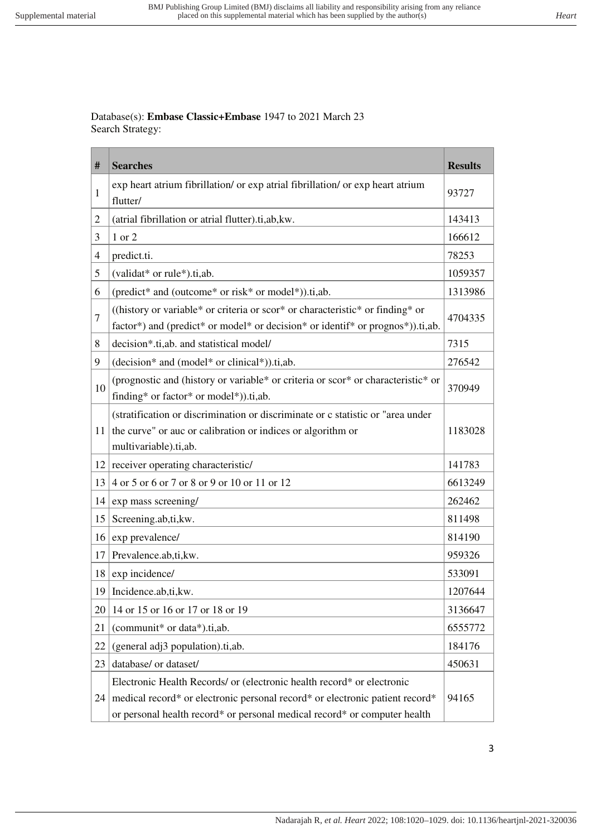Database(s): **Embase Classic+Embase** 1947 to 2021 March 23 Search Strategy:

| #              | <b>Searches</b>                                                                                                                                                         | <b>Results</b> |
|----------------|-------------------------------------------------------------------------------------------------------------------------------------------------------------------------|----------------|
| 1              | exp heart atrium fibrillation/ or exp atrial fibrillation/ or exp heart atrium<br>flutter/                                                                              | 93727          |
| $\overline{c}$ | (atrial fibrillation or atrial flutter).ti,ab, kw.                                                                                                                      | 143413         |
| 3              | 1 or 2                                                                                                                                                                  | 166612         |
| 4              | predict.ti.                                                                                                                                                             | 78253          |
| 5              | (validat* or rule*).ti,ab.                                                                                                                                              | 1059357        |
| 6              | (predict* and (outcome* or risk* or model*)).ti,ab.                                                                                                                     | 1313986        |
| 7              | ((history or variable* or criteria or scor* or characteristic* or finding* or<br>factor*) and (predict* or model* or decision* or identif* or prognos*)).ti,ab.         | 4704335        |
| 8              | decision*.ti,ab. and statistical model/                                                                                                                                 | 7315           |
| 9              | (decision* and (model* or clinical*)).ti,ab.                                                                                                                            | 276542         |
| 10             | (prognostic and (history or variable* or criteria or scor* or characteristic* or<br>finding* or factor* or model*)).ti,ab.                                              | 370949         |
| 11             | (stratification or discrimination or discriminate or c statistic or "area under<br>the curve" or auc or calibration or indices or algorithm or<br>multivariable).ti,ab. | 1183028        |
| 12             | receiver operating characteristic/                                                                                                                                      | 141783         |
| 13             | 4 or 5 or 6 or 7 or 8 or 9 or 10 or 11 or 12                                                                                                                            | 6613249        |
| 14             | exp mass screening/                                                                                                                                                     | 262462         |
| 15             | Screening.ab,ti,kw.                                                                                                                                                     | 811498         |
| 16             | exp prevalence/                                                                                                                                                         | 814190         |
| 17             | Prevalence.ab,ti,kw.                                                                                                                                                    | 959326         |
| 18             | exp incidence/                                                                                                                                                          | 533091         |
|                | 19   Incidence.ab,ti, kw.                                                                                                                                               | 1207644        |
| 20             | 14 or 15 or 16 or 17 or 18 or 19                                                                                                                                        | 3136647        |
| 21             | (communit* or data*).ti,ab.                                                                                                                                             | 6555772        |
| 22             | (general adj3 population).ti,ab.                                                                                                                                        | 184176         |
| 23             | database/ or dataset/                                                                                                                                                   | 450631         |
|                | Electronic Health Records/ or (electronic health record* or electronic                                                                                                  |                |
| 24             | medical record* or electronic personal record* or electronic patient record*                                                                                            | 94165          |
|                | or personal health record* or personal medical record* or computer health                                                                                               |                |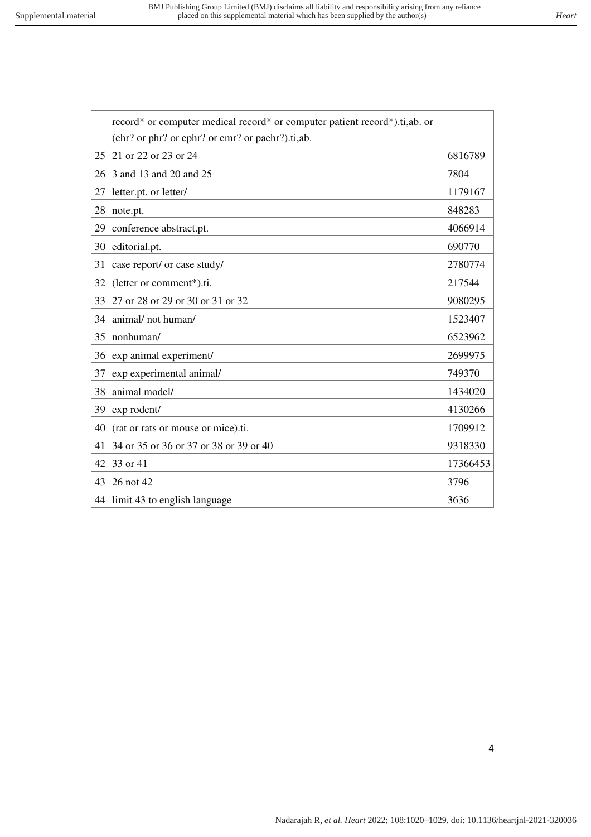|    | record* or computer medical record* or computer patient record*).ti,ab. or |          |  |  |  |  |  |
|----|----------------------------------------------------------------------------|----------|--|--|--|--|--|
|    | (ehr? or phr? or ephr? or emr? or paehr?).ti,ab.                           |          |  |  |  |  |  |
| 25 | 21 or 22 or 23 or 24                                                       | 6816789  |  |  |  |  |  |
| 26 | 3 and 13 and 20 and 25                                                     | 7804     |  |  |  |  |  |
| 27 | letter.pt. or letter/                                                      | 1179167  |  |  |  |  |  |
| 28 | note.pt.                                                                   | 848283   |  |  |  |  |  |
| 29 | conference abstract.pt.                                                    | 4066914  |  |  |  |  |  |
| 30 | editorial.pt.                                                              | 690770   |  |  |  |  |  |
| 31 | case report/ or case study/                                                | 2780774  |  |  |  |  |  |
| 32 | (letter or comment*).ti.                                                   | 217544   |  |  |  |  |  |
| 33 | 27 or 28 or 29 or 30 or 31 or 32                                           | 9080295  |  |  |  |  |  |
| 34 | animal/not human/                                                          | 1523407  |  |  |  |  |  |
| 35 | nonhuman/                                                                  | 6523962  |  |  |  |  |  |
| 36 | exp animal experiment/                                                     | 2699975  |  |  |  |  |  |
| 37 | exp experimental animal/                                                   | 749370   |  |  |  |  |  |
| 38 | animal model/                                                              | 1434020  |  |  |  |  |  |
| 39 | exp rodent/                                                                | 4130266  |  |  |  |  |  |
| 40 | (rat or rats or mouse or mice).ti.                                         | 1709912  |  |  |  |  |  |
| 41 | 34 or 35 or 36 or 37 or 38 or 39 or 40                                     | 9318330  |  |  |  |  |  |
| 42 | 33 or 41                                                                   | 17366453 |  |  |  |  |  |
| 43 | 26 not 42                                                                  | 3796     |  |  |  |  |  |
| 44 | limit 43 to english language                                               | 3636     |  |  |  |  |  |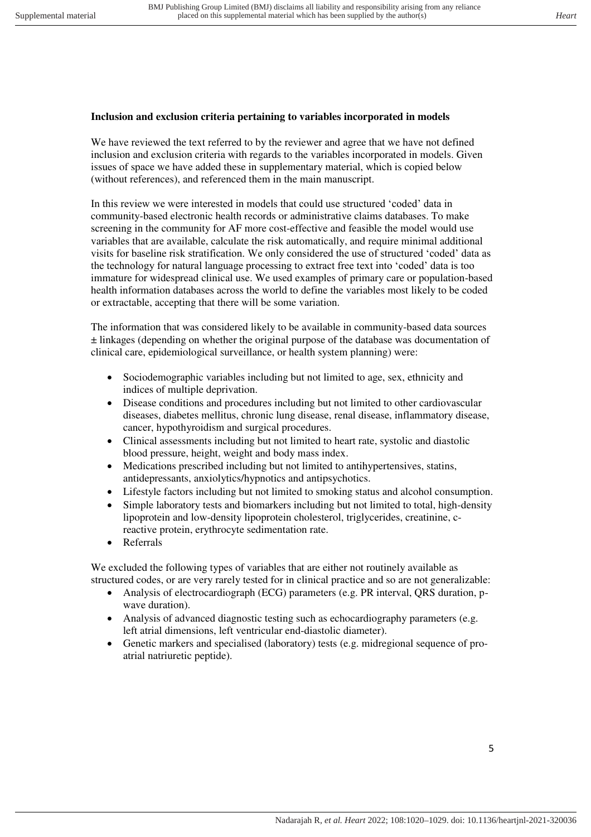#### **Inclusion and exclusion criteria pertaining to variables incorporated in models**

We have reviewed the text referred to by the reviewer and agree that we have not defined inclusion and exclusion criteria with regards to the variables incorporated in models. Given issues of space we have added these in supplementary material, which is copied below (without references), and referenced them in the main manuscript.

In this review we were interested in models that could use structured 'coded' data in community-based electronic health records or administrative claims databases. To make screening in the community for AF more cost-effective and feasible the model would use variables that are available, calculate the risk automatically, and require minimal additional visits for baseline risk stratification. We only considered the use of structured 'coded' data as the technology for natural language processing to extract free text into 'coded' data is too immature for widespread clinical use. We used examples of primary care or population-based health information databases across the world to define the variables most likely to be coded or extractable, accepting that there will be some variation.

The information that was considered likely to be available in community-based data sources ± linkages (depending on whether the original purpose of the database was documentation of clinical care, epidemiological surveillance, or health system planning) were:

- Sociodemographic variables including but not limited to age, sex, ethnicity and indices of multiple deprivation.
- Disease conditions and procedures including but not limited to other cardiovascular diseases, diabetes mellitus, chronic lung disease, renal disease, inflammatory disease, cancer, hypothyroidism and surgical procedures.
- Clinical assessments including but not limited to heart rate, systolic and diastolic blood pressure, height, weight and body mass index.
- Medications prescribed including but not limited to antihypertensives, statins, antidepressants, anxiolytics/hypnotics and antipsychotics.
- Lifestyle factors including but not limited to smoking status and alcohol consumption.
- Simple laboratory tests and biomarkers including but not limited to total, high-density lipoprotein and low-density lipoprotein cholesterol, triglycerides, creatinine, creactive protein, erythrocyte sedimentation rate.
- Referrals

We excluded the following types of variables that are either not routinely available as structured codes, or are very rarely tested for in clinical practice and so are not generalizable:

- Analysis of electrocardiograph (ECG) parameters (e.g. PR interval, QRS duration, pwave duration).
- Analysis of advanced diagnostic testing such as echocardiography parameters (e.g. left atrial dimensions, left ventricular end-diastolic diameter).
- Genetic markers and specialised (laboratory) tests (e.g. midregional sequence of proatrial natriuretic peptide).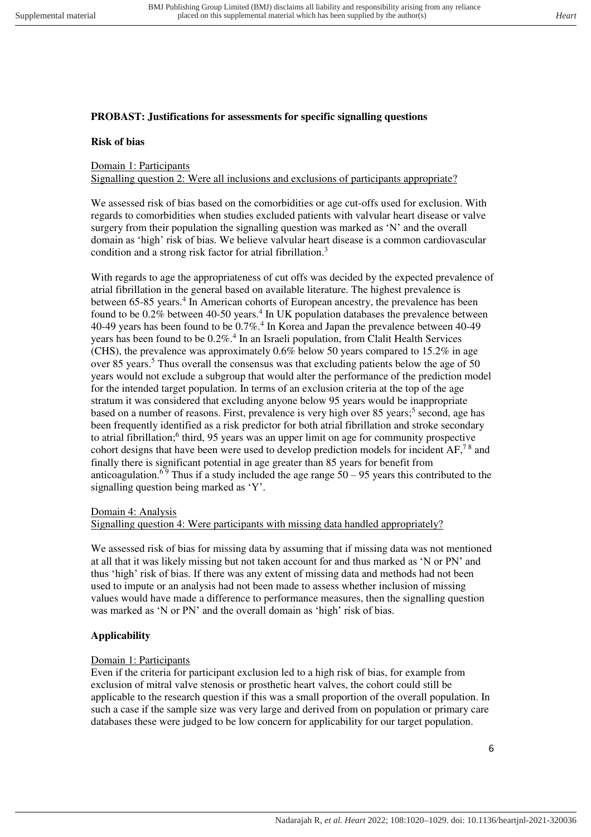## **PROBAST: Justifications for assessments for specific signalling questions**

#### **Risk of bias**

## Domain 1: Participants

Signalling question 2: Were all inclusions and exclusions of participants appropriate?

We assessed risk of bias based on the comorbidities or age cut-offs used for exclusion. With regards to comorbidities when studies excluded patients with valvular heart disease or valve surgery from their population the signalling question was marked as 'N' and the overall domain as 'high' risk of bias. We believe valvular heart disease is a common cardiovascular condition and a strong risk factor for atrial fibrillation.<sup>3</sup>

With regards to age the appropriateness of cut offs was decided by the expected prevalence of atrial fibrillation in the general based on available literature. The highest prevalence is between 65-85 years.<sup>4</sup> In American cohorts of European ancestry, the prevalence has been found to be  $0.2\%$  between 40-50 years.<sup>4</sup> In UK population databases the prevalence between 40-49 years has been found to be 0.7%.<sup>4</sup> In Korea and Japan the prevalence between 40-49 years has been found to be  $0.2\%$ .<sup>4</sup> In an Israeli population, from Clalit Health Services (CHS), the prevalence was approximately 0.6% below 50 years compared to 15.2% in age over 85 years.<sup>5</sup> Thus overall the consensus was that excluding patients below the age of 50 years would not exclude a subgroup that would alter the performance of the prediction model for the intended target population. In terms of an exclusion criteria at the top of the age stratum it was considered that excluding anyone below 95 years would be inappropriate based on a number of reasons. First, prevalence is very high over 85 years;<sup>5</sup> second, age has been frequently identified as a risk predictor for both atrial fibrillation and stroke secondary to atrial fibrillation;<sup>6</sup> third, 95 years was an upper limit on age for community prospective cohort designs that have been were used to develop prediction models for incident AF,<sup>78</sup> and finally there is significant potential in age greater than 85 years for benefit from anticoagulation.<sup>69</sup> Thus if a study included the age range  $50 - 95$  years this contributed to the signalling question being marked as 'Y'.

#### Domain 4: Analysis

#### Signalling question 4: Were participants with missing data handled appropriately?

We assessed risk of bias for missing data by assuming that if missing data was not mentioned at all that it was likely missing but not taken account for and thus marked as 'N or PN' and thus 'high' risk of bias. If there was any extent of missing data and methods had not been used to impute or an analysis had not been made to assess whether inclusion of missing values would have made a difference to performance measures, then the signalling question was marked as 'N or PN' and the overall domain as 'high' risk of bias.

#### **Applicability**

#### Domain 1: Participants

Even if the criteria for participant exclusion led to a high risk of bias, for example from exclusion of mitral valve stenosis or prosthetic heart valves, the cohort could still be applicable to the research question if this was a small proportion of the overall population. In such a case if the sample size was very large and derived from on population or primary care databases these were judged to be low concern for applicability for our target population.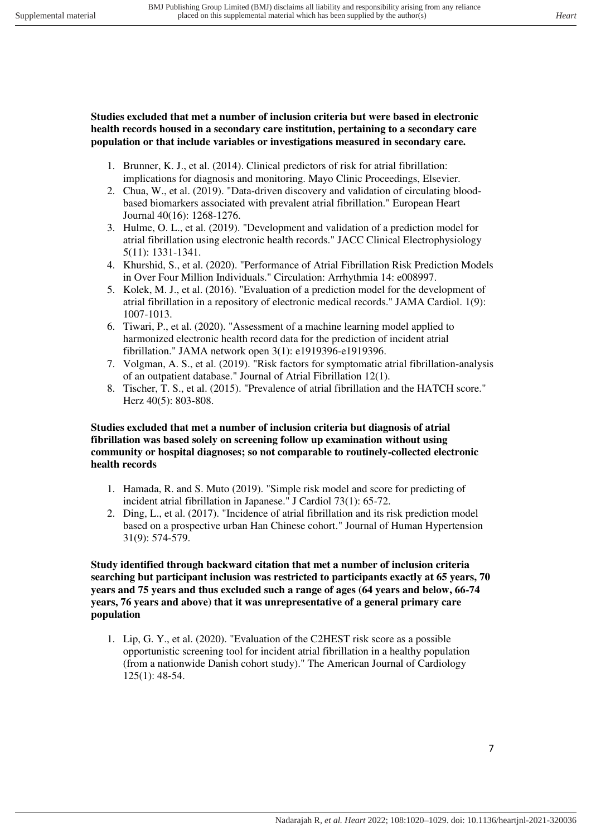**Studies excluded that met a number of inclusion criteria but were based in electronic health records housed in a secondary care institution, pertaining to a secondary care population or that include variables or investigations measured in secondary care.** 

- 1. Brunner, K. J., et al. (2014). Clinical predictors of risk for atrial fibrillation: implications for diagnosis and monitoring. Mayo Clinic Proceedings, Elsevier.
- 2. Chua, W., et al. (2019). "Data-driven discovery and validation of circulating bloodbased biomarkers associated with prevalent atrial fibrillation." European Heart Journal 40(16): 1268-1276.
- 3. Hulme, O. L., et al. (2019). "Development and validation of a prediction model for atrial fibrillation using electronic health records." JACC Clinical Electrophysiology 5(11): 1331-1341.
- 4. Khurshid, S., et al. (2020). "Performance of Atrial Fibrillation Risk Prediction Models in Over Four Million Individuals." Circulation: Arrhythmia 14: e008997.
- 5. Kolek, M. J., et al. (2016). "Evaluation of a prediction model for the development of atrial fibrillation in a repository of electronic medical records." JAMA Cardiol. 1(9): 1007-1013.
- 6. Tiwari, P., et al. (2020). "Assessment of a machine learning model applied to harmonized electronic health record data for the prediction of incident atrial fibrillation." JAMA network open 3(1): e1919396-e1919396.
- 7. Volgman, A. S., et al. (2019). "Risk factors for symptomatic atrial fibrillation-analysis of an outpatient database." Journal of Atrial Fibrillation 12(1).
- 8. Tischer, T. S., et al. (2015). "Prevalence of atrial fibrillation and the HATCH score." Herz 40(5): 803-808.

## **Studies excluded that met a number of inclusion criteria but diagnosis of atrial fibrillation was based solely on screening follow up examination without using community or hospital diagnoses; so not comparable to routinely-collected electronic health records**

- 1. Hamada, R. and S. Muto (2019). "Simple risk model and score for predicting of incident atrial fibrillation in Japanese." J Cardiol 73(1): 65-72.
- 2. Ding, L., et al. (2017). "Incidence of atrial fibrillation and its risk prediction model based on a prospective urban Han Chinese cohort." Journal of Human Hypertension 31(9): 574-579.

#### **Study identified through backward citation that met a number of inclusion criteria searching but participant inclusion was restricted to participants exactly at 65 years, 70 years and 75 years and thus excluded such a range of ages (64 years and below, 66-74 years, 76 years and above) that it was unrepresentative of a general primary care population**

1. Lip, G. Y., et al. (2020). "Evaluation of the C2HEST risk score as a possible opportunistic screening tool for incident atrial fibrillation in a healthy population (from a nationwide Danish cohort study)." The American Journal of Cardiology 125(1): 48-54.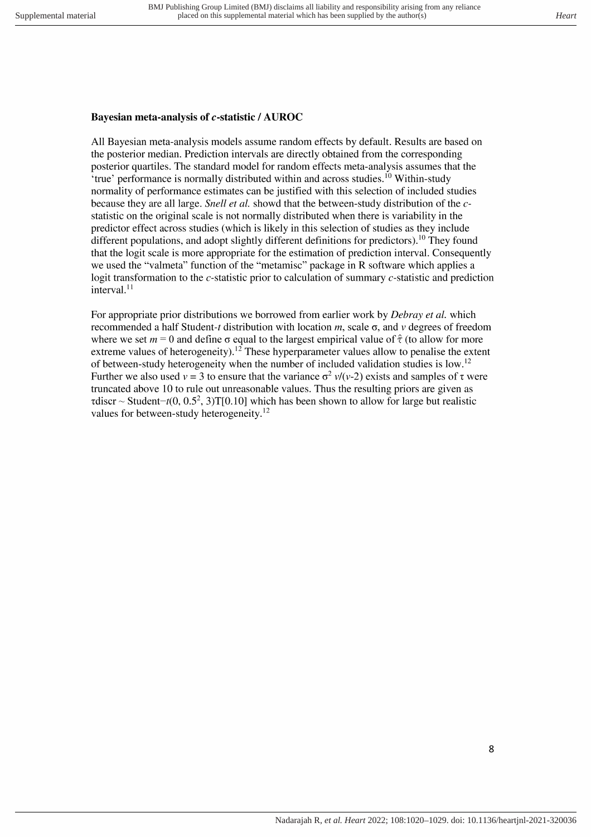# Bayesian meta-analysis of c-statistic / AUROC

All Bayesian meta-analysis models assume random effects by default. Results are based on the posterior median. Prediction intervals are directly obtained from the corresponding posterior quartiles. The standard model for random effects meta-analysis assumes that the 'true' performance is normally distributed within and across studies.<sup>10</sup> Within-study normality of performance estimates can be justified with this selection of included studies because they are all large. Snell et al. showd that the between-study distribution of the cstatistic on the original scale is not normally distributed when there is variability in the predictor effect across studies (which is likely in this selection of studies as they include different populations, and adopt slightly different definitions for predictors).<sup>10</sup> They found that the logit scale is more appropriate for the estimation of prediction interval. Consequently we used the "valmeta" function of the "metamisc" package in R software which applies a logit transformation to the c-statistic prior to calculation of summary c-statistic and prediction interval. $11$ 

For appropriate prior distributions we borrowed from earlier work by *Debray et al.* which recommended a half Student-t distribution with location m, scale  $\sigma$ , and v degrees of freedom where we set  $m = 0$  and define  $\sigma$  equal to the largest empirical value of  $\hat{\tau}$  (to allow for more extreme values of heterogeneity).<sup>12</sup> These hyperparameter values allow to penalise the extent of between-study heterogeneity when the number of included validation studies is low.<sup>12</sup> Further we also used  $v = 3$  to ensure that the variance  $\sigma^2 v/(v-2)$  exists and samples of  $\tau$  were truncated above 10 to rule out unreasonable values. Thus the resulting priors are given as rdiscr ~ Student-t(0, 0.5<sup>2</sup>, 3)T[0.10] which has been shown to allow for large but realistic values for between-study heterogeneity.<sup>12</sup>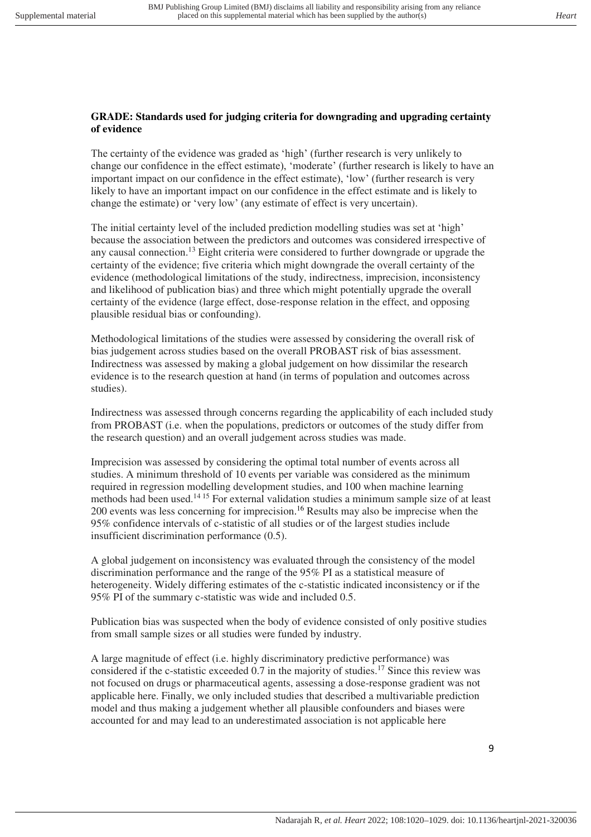#### **GRADE: Standards used for judging criteria for downgrading and upgrading certainty of evidence**

The certainty of the evidence was graded as 'high' (further research is very unlikely to change our confidence in the effect estimate), 'moderate' (further research is likely to have an important impact on our confidence in the effect estimate), 'low' (further research is very likely to have an important impact on our confidence in the effect estimate and is likely to change the estimate) or 'very low' (any estimate of effect is very uncertain).

The initial certainty level of the included prediction modelling studies was set at 'high' because the association between the predictors and outcomes was considered irrespective of any causal connection.<sup>13</sup> Eight criteria were considered to further downgrade or upgrade the certainty of the evidence; five criteria which might downgrade the overall certainty of the evidence (methodological limitations of the study, indirectness, imprecision, inconsistency and likelihood of publication bias) and three which might potentially upgrade the overall certainty of the evidence (large effect, dose-response relation in the effect, and opposing plausible residual bias or confounding).

Methodological limitations of the studies were assessed by considering the overall risk of bias judgement across studies based on the overall PROBAST risk of bias assessment. Indirectness was assessed by making a global judgement on how dissimilar the research evidence is to the research question at hand (in terms of population and outcomes across studies).

Indirectness was assessed through concerns regarding the applicability of each included study from PROBAST (i.e. when the populations, predictors or outcomes of the study differ from the research question) and an overall judgement across studies was made.

Imprecision was assessed by considering the optimal total number of events across all studies. A minimum threshold of 10 events per variable was considered as the minimum required in regression modelling development studies, and 100 when machine learning methods had been used.14 15 For external validation studies a minimum sample size of at least 200 events was less concerning for imprecision. <sup>16</sup> Results may also be imprecise when the 95% confidence intervals of c-statistic of all studies or of the largest studies include insufficient discrimination performance (0.5).

A global judgement on inconsistency was evaluated through the consistency of the model discrimination performance and the range of the 95% PI as a statistical measure of heterogeneity. Widely differing estimates of the c-statistic indicated inconsistency or if the 95% PI of the summary c-statistic was wide and included 0.5.

Publication bias was suspected when the body of evidence consisted of only positive studies from small sample sizes or all studies were funded by industry.

A large magnitude of effect (i.e. highly discriminatory predictive performance) was considered if the c-statistic exceeded 0.7 in the majority of studies.<sup>17</sup> Since this review was not focused on drugs or pharmaceutical agents, assessing a dose-response gradient was not applicable here. Finally, we only included studies that described a multivariable prediction model and thus making a judgement whether all plausible confounders and biases were accounted for and may lead to an underestimated association is not applicable here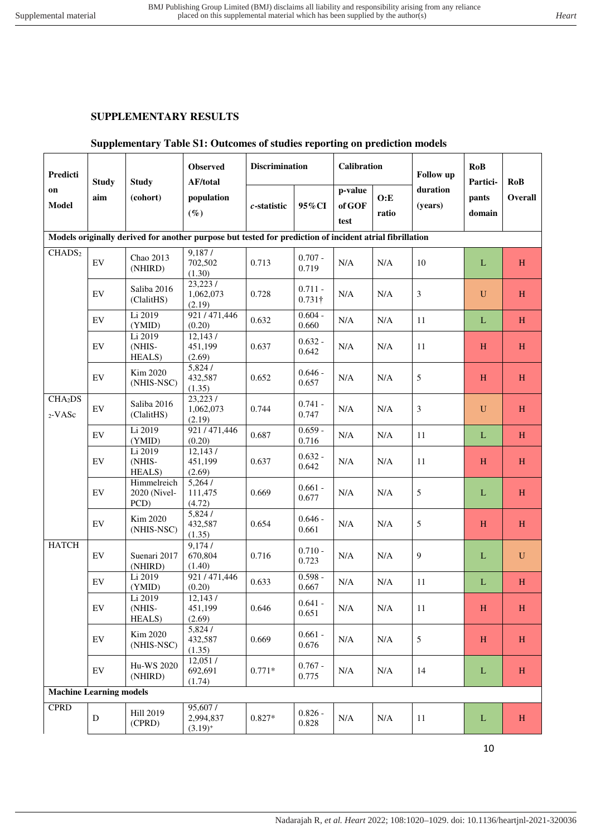## **SUPPLEMENTARY RESULTS**

## **Supplementary Table S1: Outcomes of studies reporting on prediction models**

| Predicti                       | <b>Study</b><br>aim        | <b>Study</b><br>(cohort)            | <b>Observed</b><br><b>AF/total</b>                                                                      |                | <b>Discrimination</b>       |                           | Calibration   |                     | <b>RoB</b><br>Partici- | <b>RoB</b>   |
|--------------------------------|----------------------------|-------------------------------------|---------------------------------------------------------------------------------------------------------|----------------|-----------------------------|---------------------------|---------------|---------------------|------------------------|--------------|
| on<br><b>Model</b>             |                            |                                     | population<br>$(\%)$                                                                                    | $c$ -statistic | 95%CI                       | p-value<br>of GOF<br>test | O: E<br>ratio | duration<br>(years) | pants<br>domain        | Overall      |
|                                |                            |                                     | Models originally derived for another purpose but tested for prediction of incident atrial fibrillation |                |                             |                           |               |                     |                        |              |
| CHADS <sub>2</sub>             | EV                         | Chao 2013<br>(NHIRD)                | 9,187/<br>702,502<br>(1.30)                                                                             | 0.713          | $0.707 -$<br>0.719          | $\rm N/A$                 | N/A           | 10                  | L                      | H            |
|                                | EV                         | Saliba 2016<br>(ClalitHS)           | 23,223/<br>1,062,073<br>(2.19)                                                                          | 0.728          | $0.711 -$<br>$0.731\dagger$ | N/A                       | N/A           | 3                   | $\mathbf U$            | H            |
|                                | $\mathop{\rm EV}\nolimits$ | Li 2019<br>(YMID)                   | 921/471,446<br>(0.20)                                                                                   | 0.632          | $0.604 -$<br>0.660          | $\rm N/A$                 | N/A           | 11                  | L                      | $\, {\rm H}$ |
|                                | EV                         | Li 2019<br>(NHIS-<br>HEALS)         | 12,143/<br>451,199<br>(2.69)                                                                            | 0.637          | $0.632 -$<br>0.642          | $\rm N/A$                 | $\rm N/A$     | 11                  | H                      | H            |
|                                | $\mathop{\rm EV}\nolimits$ | Kim 2020<br>(NHIS-NSC)              | 5,824/<br>432,587<br>(1.35)                                                                             | 0.652          | $0.646 -$<br>0.657          | N/A                       | N/A           | 5                   | H                      | H            |
| CHA <sub>2</sub> DS<br>2-VASc  | $\mathop{\rm EV}\nolimits$ | Saliba 2016<br>(ClalitHS)           | 23,223/<br>1,062,073<br>(2.19)                                                                          | 0.744          | $0.741 -$<br>0.747          | N/A                       | N/A           | $\mathfrak{Z}$      | $\mathbf U$            | H            |
|                                | EV                         | Li 2019<br>(YMID)                   | 921/471,446<br>(0.20)                                                                                   | 0.687          | $0.659 -$<br>0.716          | N/A                       | N/A           | 11                  | L                      | H            |
|                                | $\mathop{\rm EV}\nolimits$ | Li 2019<br>(NHIS-<br>HEALS)         | 12,143/<br>451,199<br>(2.69)                                                                            | 0.637          | $0.632 -$<br>0.642          | $\rm N/A$                 | $\rm N/A$     | 11                  | H                      | H            |
|                                | $\mathop{\rm EV}\nolimits$ | Himmelreich<br>2020 (Nivel-<br>PCD) | 5,264/<br>111,475<br>(4.72)                                                                             | 0.669          | $0.661 -$<br>0.677          | $\rm N/A$                 | N/A           | 5                   | $\mathbf{L}$           | H            |
|                                | $\mathop{\rm EV}\nolimits$ | Kim 2020<br>(NHIS-NSC)              | 5,824/<br>432,587<br>(1.35)                                                                             | 0.654          | $0.646 -$<br>0.661          | $\rm N/A$                 | N/A           | 5                   | H                      | H            |
| <b>HATCH</b>                   | $\mathop{\rm EV}\nolimits$ | Suenari 2017<br>(NHIRD)             | 9,174/<br>670,804<br>(1.40)                                                                             | 0.716          | $0.710 -$<br>0.723          | N/A                       | N/A           | 9                   | L                      | $\mathbf U$  |
|                                | $\mathop{\rm EV}\nolimits$ | Li 2019<br>(YMID)                   | 921/471,446<br>(0.20)                                                                                   | 0.633          | $0.598 -$<br>0.667          | N/A                       | $\rm N/A$     | 11                  | $\mathbf{L}$           | H            |
|                                | EV                         | Li 2019<br>(NHIS-<br>HEALS)         | 12,143/<br>451,199<br>(2.69)                                                                            | 0.646          | $0.641 -$<br>0.651          | N/A                       | $\rm N/A$     | $11\,$              | $H_{\rm}$              | H            |
|                                | EV                         | Kim 2020<br>(NHIS-NSC)              | 5,824/<br>432,587<br>(1.35)                                                                             | 0.669          | $0.661 -$<br>0.676          | $\rm N/A$                 | N/A           | $\sqrt{5}$          | H                      | H            |
|                                | $\mathop{\rm EV}\nolimits$ | Hu-WS 2020<br>(NHIRD)               | 12,051/<br>692,691<br>(1.74)                                                                            | $0.771*$       | $0.767 -$<br>0.775          | $\rm N/A$                 | $\rm N/A$     | 14                  | $\mathbf L$            | H            |
| <b>Machine Learning models</b> |                            |                                     |                                                                                                         |                |                             |                           |               |                     |                        |              |
| <b>CPRD</b>                    | D                          | Hill 2019<br>(CPRD)                 | 95,607/<br>2,994,837<br>$(3.19)^{+}$                                                                    | $0.827*$       | $0.826 -$<br>0.828          | $\rm N/A$                 | $\rm N/A$     | $11\,$              | $\Gamma$               | H            |

10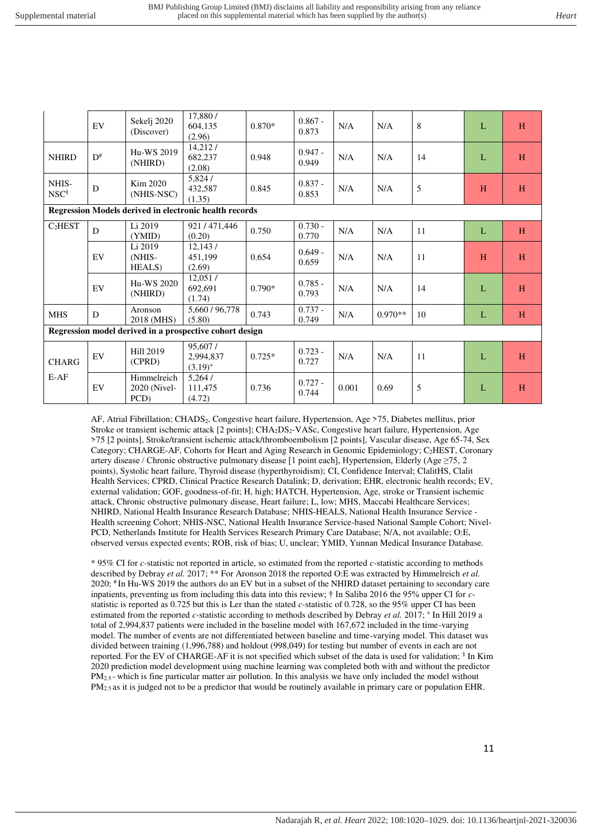|                                                               | EV                                                                 | Sekelj 2020<br>(Discover)           | 17,880/<br>604,135<br>(2.96)                            | $0.870*$           | $0.867 -$<br>0.873 | N/A   | N/A       | 8  | L | H |
|---------------------------------------------------------------|--------------------------------------------------------------------|-------------------------------------|---------------------------------------------------------|--------------------|--------------------|-------|-----------|----|---|---|
| <b>NHIRD</b>                                                  | $D^{\#}$                                                           | Hu-WS 2019<br>(NHIRD)               | 14,212/<br>682,237<br>(2.08)                            | 0.948              | $0.947 -$<br>0.949 | N/A   | N/A       | 14 | L | H |
| NHIS-<br>NSC <sup>§</sup>                                     | 5,824/<br>Kim 2020<br>${\bf D}$<br>432,587<br>(NHIS-NSC)<br>(1.35) |                                     | 0.845                                                   | $0.837 -$<br>0.853 | N/A                | N/A   | 5         | H  | H |   |
| <b>Regression Models derived in electronic health records</b> |                                                                    |                                     |                                                         |                    |                    |       |           |    |   |   |
| C <sub>2</sub> HEST                                           | D                                                                  | Li 2019<br>(YMID)                   | 921/471,446<br>(0.20)                                   | 0.750              | $0.730 -$<br>0.770 | N/A   | N/A       | 11 | L | H |
|                                                               | EV                                                                 | Li 2019<br>(NHIS-<br><b>HEALS</b> ) | 12,143/<br>451,199<br>(2.69)                            | 0.654              | $0.649 -$<br>0.659 | N/A   | N/A       | 11 | H | H |
|                                                               | EV                                                                 | Hu-WS 2020<br>(NHIRD)               | 12,051/<br>692,691<br>(1.74)                            | $0.790*$           | $0.785 -$<br>0.793 | N/A   | N/A       | 14 | L | H |
| <b>MHS</b>                                                    | D                                                                  | Aronson<br>2018 (MHS)               | 5,660 / 96,778<br>(5.80)                                | 0.743              | $0.737 -$<br>0.749 | N/A   | $0.970**$ | 10 | L | H |
|                                                               |                                                                    |                                     | Regression model derived in a prospective cohort design |                    |                    |       |           |    |   |   |
| <b>CHARG</b>                                                  | EV                                                                 | Hill 2019<br>(CPRD)                 | 95,607/<br>2,994,837<br>$(3.19)^{+}$                    | $0.725*$           | $0.723 -$<br>0.727 | N/A   | N/A       | 11 | L | H |
| $E-AF$                                                        | EV                                                                 | Himmelreich<br>2020 (Nivel-<br>PCD) | 5,264/<br>111,475<br>(4.72)                             | 0.736              | $0.727 -$<br>0.744 | 0.001 | 0.69      | 5  | L | H |

AF, Atrial Fibrillation; CHADS<sub>2</sub>, Congestive heart failure, Hypertension, Age >75, Diabetes mellitus, prior Stroke or transient ischemic attack [2 points]; CHA2DS2-VASc, Congestive heart failure, Hypertension, Age >75 [2 points], Stroke/transient ischemic attack/thromboembolism [2 points], Vascular disease, Age 65-74, Sex Category; CHARGE-AF, Cohorts for Heart and Aging Research in Genomic Epidemiology; C2HEST, Coronary artery disease / Chronic obstructive pulmonary disease [1 point each], Hypertension, Elderly (Age ≥75, 2 points), Systolic heart failure, Thyroid disease (hyperthyroidism); CI, Confidence Interval; ClalitHS, Clalit Health Services; CPRD, Clinical Practice Research Datalink; D, derivation; EHR, electronic health records; EV, external validation; GOF, goodness-of-fit; H, high; HATCH, Hypertension, Age, stroke or Transient ischemic attack, Chronic obstructive pulmonary disease, Heart failure; L, low; MHS, Maccabi Healthcare Services; NHIRD, National Health Insurance Research Database; NHIS-HEALS, National Health Insurance Service - Health screening Cohort; NHIS-NSC, National Health Insurance Service-based National Sample Cohort; Nivel-PCD, Netherlands Institute for Health Services Research Primary Care Database; N/A, not available; O:E, observed versus expected events; ROB, risk of bias; U, unclear; YMID, Yunnan Medical Insurance Database.

\* 95% CI for *c-*statistic not reported in article, so estimated from the reported *c-*statistic according to methods described by Debray *et al.* 2017; \*\* For Aronson 2018 the reported O:E was extracted by Himmelreich *et al.*  2020; # In Hu-WS 2019 the authors do an EV but in a subset of the NHIRD dataset pertaining to secondary care inpatients, preventing us from including this data into this review; † In Saliba 2016 the 95% upper CI for *c*statistic is reported as 0.725 but this is Ler than the stated *c-*statistic of 0.728, so the 95% upper CI has been estimated from the reported *c*-statistic according to methods described by Debray *et al.* 2017; <sup>+</sup> In Hill 2019 a total of 2,994,837 patients were included in the baseline model with 167,672 included in the time-varying model. The number of events are not differentiated between baseline and time-varying model. This dataset was divided between training (1,996,788) and holdout (998,049) for testing but number of events in each are not reported. For the EV of CHARGE-AF it is not specified which subset of the data is used for validation; § In Kim 2020 prediction model development using machine learning was completed both with and without the predictor PM<sub>2.5</sub> - which is fine particular matter air pollution. In this analysis we have only included the model without PM2.5 as it is judged not to be a predictor that would be routinely available in primary care or population EHR.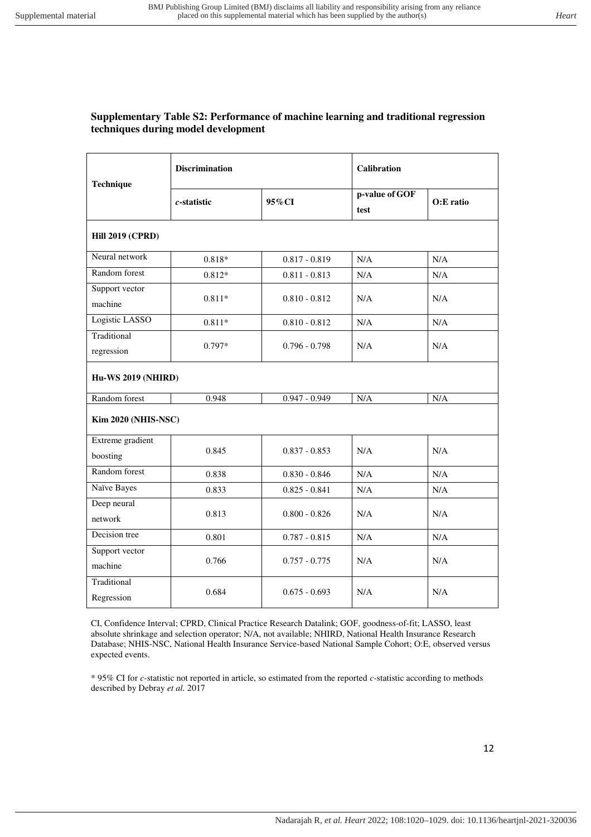#### **Supplementary Table S2: Performance of machine learning and traditional regression techniques during model development**

| Technique                  | <b>Discrimination</b>     |                 | <b>Calibration</b>     |           |  |  |  |  |  |  |
|----------------------------|---------------------------|-----------------|------------------------|-----------|--|--|--|--|--|--|
|                            | $c$ -statistic            | 95%CI           | p-value of GOF<br>test | O:E ratio |  |  |  |  |  |  |
| <b>Hill 2019 (CPRD)</b>    |                           |                 |                        |           |  |  |  |  |  |  |
| Neural network             | $0.818*$                  | $0.817 - 0.819$ | N/A                    | N/A       |  |  |  |  |  |  |
| Random forest              | $0.812*$                  | $0.811 - 0.813$ | N/A                    | N/A       |  |  |  |  |  |  |
| Support vector             |                           |                 |                        |           |  |  |  |  |  |  |
| machine                    | $0.811*$                  | $0.810 - 0.812$ | N/A                    | N/A       |  |  |  |  |  |  |
| Logistic LASSO             | $0.811*$                  | $0.810 - 0.812$ | N/A                    | N/A       |  |  |  |  |  |  |
| Traditional                |                           |                 |                        |           |  |  |  |  |  |  |
| regression                 | $0.797*$                  | $0.796 - 0.798$ | N/A                    | N/A       |  |  |  |  |  |  |
|                            | <b>Hu-WS 2019 (NHIRD)</b> |                 |                        |           |  |  |  |  |  |  |
| Random forest              | 0.948                     | $0.947 - 0.949$ | N/A                    | N/A       |  |  |  |  |  |  |
| <b>Kim 2020 (NHIS-NSC)</b> |                           |                 |                        |           |  |  |  |  |  |  |
| Extreme gradient           |                           |                 |                        |           |  |  |  |  |  |  |
| boosting                   | 0.845                     | $0.837 - 0.853$ | N/A                    | N/A       |  |  |  |  |  |  |
| Random forest              | 0.838                     | $0.830 - 0.846$ | N/A                    | N/A       |  |  |  |  |  |  |
| Naïve Bayes                | 0.833                     | $0.825 - 0.841$ | N/A                    | N/A       |  |  |  |  |  |  |
| Deep neural                |                           | $0.800 - 0.826$ |                        |           |  |  |  |  |  |  |
| network                    | 0.813                     |                 | N/A                    | N/A       |  |  |  |  |  |  |
| Decision tree              | 0.801                     | $0.787 - 0.815$ | N/A                    | N/A       |  |  |  |  |  |  |
| Support vector             | 0.766                     | $0.757 - 0.775$ | N/A                    |           |  |  |  |  |  |  |
| machine                    |                           |                 |                        | N/A       |  |  |  |  |  |  |
| Traditional                | 0.684                     | $0.675 - 0.693$ | N/A                    | N/A       |  |  |  |  |  |  |
| Regression                 |                           |                 |                        |           |  |  |  |  |  |  |

CI, Confidence Interval; CPRD, Clinical Practice Research Datalink; GOF, goodness-of-fit; LASSO, least absolute shrinkage and selection operator; N/A, not available; NHIRD, National Health Insurance Research Database; NHIS-NSC, National Health Insurance Service-based National Sample Cohort; O:E, observed versus expected events.

\* 95% CI for *c-*statistic not reported in article, so estimated from the reported *c-*statistic according to methods described by Debray *et al.* 2017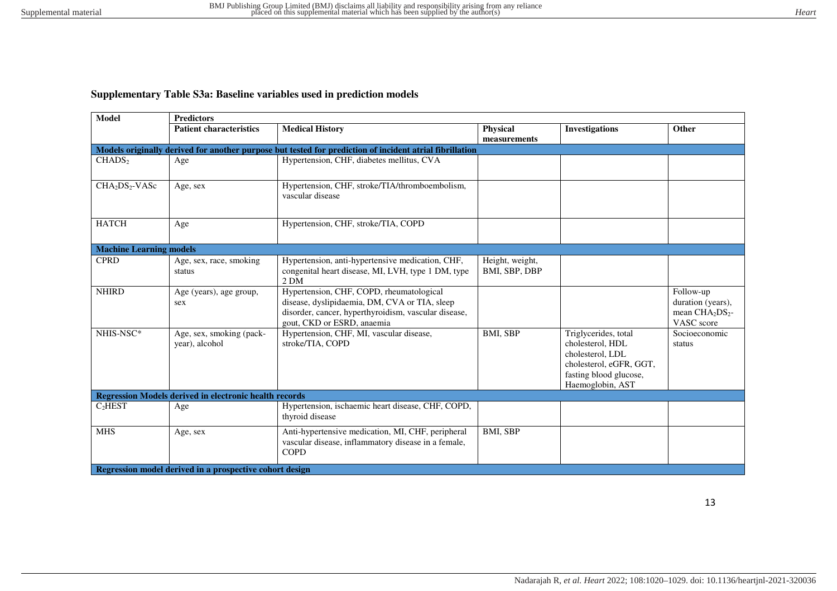## **Supplementary Table S3a: Baseline variables used in prediction models**

| Model                                  | <b>Predictors</b>                                             |                                                                                                                                                                                 |                                  |                                                                                                                                       |                                                                  |  |  |  |  |
|----------------------------------------|---------------------------------------------------------------|---------------------------------------------------------------------------------------------------------------------------------------------------------------------------------|----------------------------------|---------------------------------------------------------------------------------------------------------------------------------------|------------------------------------------------------------------|--|--|--|--|
|                                        | <b>Patient characteristics</b>                                | <b>Medical History</b>                                                                                                                                                          | <b>Physical</b><br>measurements  | <b>Investigations</b>                                                                                                                 | Other                                                            |  |  |  |  |
|                                        |                                                               | Models originally derived for another purpose but tested for prediction of incident atrial fibrillation                                                                         |                                  |                                                                                                                                       |                                                                  |  |  |  |  |
| CHADS <sub>2</sub>                     | Age                                                           | Hypertension, CHF, diabetes mellitus, CVA                                                                                                                                       |                                  |                                                                                                                                       |                                                                  |  |  |  |  |
| CHA <sub>2</sub> DS <sub>2</sub> -VASc | Age, sex                                                      | Hypertension, CHF, stroke/TIA/thromboembolism,<br>vascular disease                                                                                                              |                                  |                                                                                                                                       |                                                                  |  |  |  |  |
| <b>HATCH</b>                           | Age                                                           | Hypertension, CHF, stroke/TIA, COPD                                                                                                                                             |                                  |                                                                                                                                       |                                                                  |  |  |  |  |
| <b>Machine Learning models</b>         |                                                               |                                                                                                                                                                                 |                                  |                                                                                                                                       |                                                                  |  |  |  |  |
| <b>CPRD</b>                            | Age, sex, race, smoking<br>status                             | Hypertension, anti-hypertensive medication, CHF,<br>congenital heart disease, MI, LVH, type 1 DM, type<br>2 <sub>DM</sub>                                                       | Height, weight,<br>BMI, SBP, DBP |                                                                                                                                       |                                                                  |  |  |  |  |
| <b>NHIRD</b>                           | Age (years), age group,<br>sex                                | Hypertension, CHF, COPD, rheumatological<br>disease, dyslipidaemia, DM, CVA or TIA, sleep<br>disorder, cancer, hyperthyroidism, vascular disease,<br>gout, CKD or ESRD, anaemia |                                  |                                                                                                                                       | Follow-up<br>duration (years),<br>mean $CHA2DS2$ -<br>VASC score |  |  |  |  |
| NHIS-NSC*                              | Age, sex, smoking (pack-<br>year), alcohol                    | Hypertension, CHF, MI, vascular disease,<br>stroke/TIA, COPD                                                                                                                    | BMI, SBP                         | Triglycerides, total<br>cholesterol, HDL<br>cholesterol, LDL<br>cholesterol, eGFR, GGT,<br>fasting blood glucose,<br>Haemoglobin, AST | Socioeconomic<br>status                                          |  |  |  |  |
|                                        | <b>Regression Models derived in electronic health records</b> |                                                                                                                                                                                 |                                  |                                                                                                                                       |                                                                  |  |  |  |  |
| C <sub>2</sub> HEST                    | Age                                                           | Hypertension, ischaemic heart disease, CHF, COPD,<br>thyroid disease                                                                                                            |                                  |                                                                                                                                       |                                                                  |  |  |  |  |
| <b>MHS</b>                             | Age, sex                                                      | Anti-hypertensive medication, MI, CHF, peripheral<br>vascular disease, inflammatory disease in a female,<br><b>COPD</b>                                                         | BMI, SBP                         |                                                                                                                                       |                                                                  |  |  |  |  |
|                                        | Regression model derived in a prospective cohort design       |                                                                                                                                                                                 |                                  |                                                                                                                                       |                                                                  |  |  |  |  |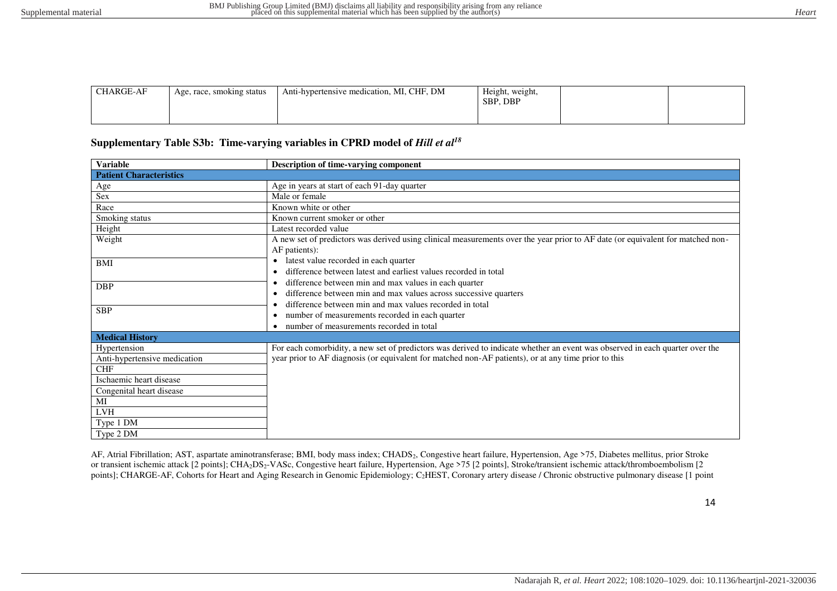| <b>CHARGE-AF</b> | Age, race, smoking status | Anti-hypertensive medication, MI, CHF, DM | Height, weight,<br>SBP, DBP |  |
|------------------|---------------------------|-------------------------------------------|-----------------------------|--|
|                  |                           |                                           |                             |  |

## Supplementary Table S3b: Time-varying variables in CPRD model of *Hill et al*<sup>18</sup>

| <b>Variable</b>                                                                                                                                    | Description of time-varying component                                                                                                                                                                                                |
|----------------------------------------------------------------------------------------------------------------------------------------------------|--------------------------------------------------------------------------------------------------------------------------------------------------------------------------------------------------------------------------------------|
| <b>Patient Characteristics</b>                                                                                                                     |                                                                                                                                                                                                                                      |
| Age                                                                                                                                                | Age in years at start of each 91-day quarter                                                                                                                                                                                         |
| Sex                                                                                                                                                | Male or female                                                                                                                                                                                                                       |
| Race                                                                                                                                               | Known white or other                                                                                                                                                                                                                 |
| Smoking status                                                                                                                                     | Known current smoker or other                                                                                                                                                                                                        |
| Height                                                                                                                                             | Latest recorded value                                                                                                                                                                                                                |
| Weight                                                                                                                                             | A new set of predictors was derived using clinical measurements over the year prior to AF date (or equivalent for matched non-<br>AF patients):                                                                                      |
| <b>BMI</b>                                                                                                                                         | latest value recorded in each quarter<br>$\bullet$<br>difference between latest and earliest values recorded in total                                                                                                                |
| <b>DBP</b>                                                                                                                                         | difference between min and max values in each quarter<br>$\bullet$<br>difference between min and max values across successive quarters<br>٠                                                                                          |
| <b>SBP</b>                                                                                                                                         | difference between min and max values recorded in total<br>number of measurements recorded in each quarter<br>$\bullet$<br>number of measurements recorded in total<br>$\bullet$                                                     |
| <b>Medical History</b>                                                                                                                             |                                                                                                                                                                                                                                      |
| Hypertension<br>Anti-hypertensive medication<br><b>CHF</b><br>Ischaemic heart disease<br>Congenital heart disease<br>MI<br><b>LVH</b><br>Type 1 DM | For each comorbidity, a new set of predictors was derived to indicate whether an event was observed in each quarter over the<br>year prior to AF diagnosis (or equivalent for matched non-AF patients), or at any time prior to this |
| Type 2 DM                                                                                                                                          |                                                                                                                                                                                                                                      |

AF, Atrial Fibrillation; AST, aspartate aminotransferase; BMI, body mass index; CHADS<sub>2</sub>, Congestive heart failure, Hypertension, Age >75, Diabetes mellitus, prior Stroke or transient ischemic attack [2 points]; CHA<sub>2</sub>DS<sub>2</sub>-VASc, Congestive heart failure, Hypertension, Age >75 [2 points], Stroke/transient ischemic attack/thromboembolism [2 points]; CHARGE-AF, Cohorts for Heart and Aging Research in Genomic Epidemiology; C<sub>2</sub>HEST, Coronary artery disease / Chronic obstructive pulmonary disease [1 point

14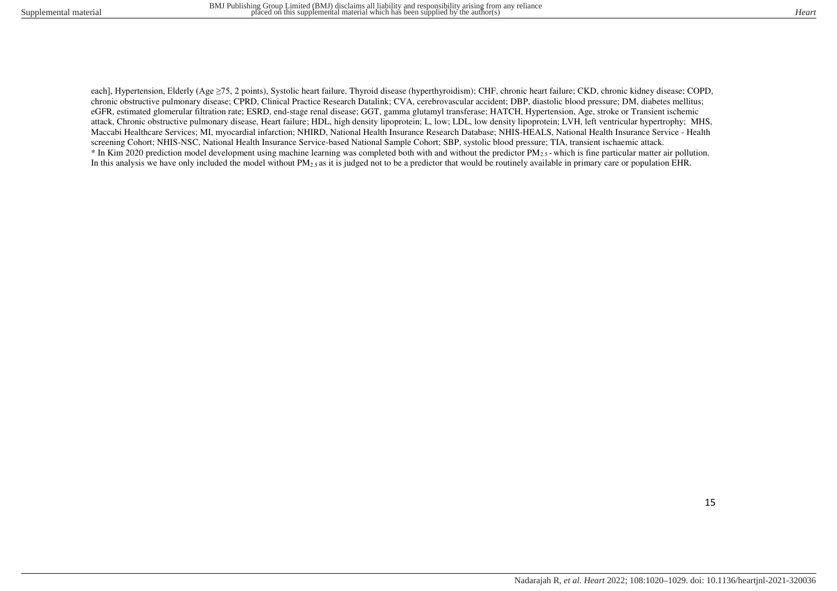each], Hypertension, Elderly (Age ≥75, 2 points), Systolic heart failure, Thyroid disease (hyperthyroidism); CHF, chronic heart failure; CKD, chronic kidney disease; COPD, chronic obstructive pulmonary disease; CPRD, Clinical Practice Research Datalink; CVA, cerebrovascular accident; DBP, diastolic blood pressure; DM, diabetes mellitus; eGFR, estimated glomerular filtration rate; ESRD, end-stage renal disease; GGT, gamma glutamyl transferase; HATCH, Hypertension, Age, stroke or Transient ischemic attack, Chronic obstructive pulmonary disease, Heart failure; HDL, high density lipoprotein; L, low; LDL, low density lipoprotein; LVH, left ventricular hypertrophy; MHS, Maccabi Healthcare Services; MI, myocardial infarction; NHIRD, National Health Insurance Research Database; NHIS-HEALS, National Health Insurance Service - Health screening Cohort; NHIS-NSC, National Health Insurance Service-based National Sample Cohort; SBP, systolic blood pressure; TIA, transient ischaemic attack.  $*$  In Kim 2020 prediction model development using machine learning was completed both with and without the predictor  $PM_{2.5}$ -which is fine particular matter air pollution. In this analysis we have only included the model without PM<sub>2.5</sub> as it is judged not to be a predictor that would be routinely available in primary care or population EHR.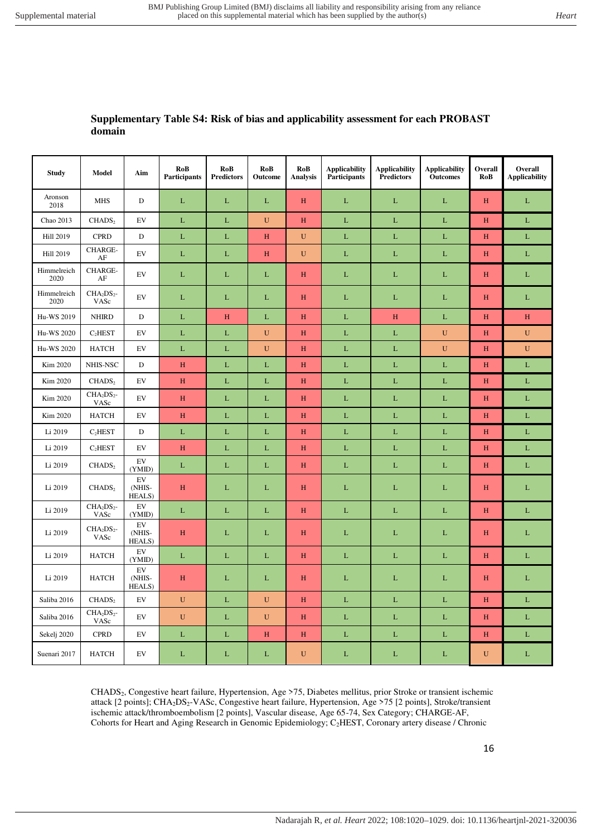## **Supplementary Table S4: Risk of bias and applicability assessment for each PROBAST domain**

| <b>Study</b>        | Model               | Aim                        | RoB<br>Participants | RoB<br><b>Predictors</b> | RoB<br>Outcome | RoB<br><b>Analysis</b> | <b>Applicability</b><br>Participants | <b>Applicability</b><br><b>Predictors</b> | <b>Applicability</b><br><b>Outcomes</b> | Overall<br>RoB            | Overall<br><b>Applicability</b> |
|---------------------|---------------------|----------------------------|---------------------|--------------------------|----------------|------------------------|--------------------------------------|-------------------------------------------|-----------------------------------------|---------------------------|---------------------------------|
| Aronson<br>2018     | <b>MHS</b>          | $\mathbf D$                | L                   | L                        | L              | $\, {\rm H}$           | $\mathbf L$                          | L                                         | $\mathbf L$                             | $\, {\rm H}$              | $\mathbf L$                     |
| Chao 2013           | CHADS <sub>2</sub>  | EV                         | $\mathbf{L}$        | $\mathbf L$              | $\mathbf U$    | H                      | $\mathbf L$                          | $\mathbf L$                               | $\mathbf L$                             | H                         | L                               |
| <b>Hill 2019</b>    | <b>CPRD</b>         | D                          | $\mathbf L$         | L                        | H              | $\mathbf U$            | $\mathbf L$                          | L                                         | $\mathbf L$                             | H                         | L                               |
| <b>Hill 2019</b>    | CHARGE-<br>$\rm AF$ | EV                         | L                   | L                        | H              | $\mathbf U$            | L                                    | L                                         | $\mathbf L$                             | H                         | $\mathbf L$                     |
| Himmelreich<br>2020 | CHARGE-<br>$\rm AF$ | EV                         | L                   | L                        | L              | H                      | L                                    | L                                         | $\mathbf L$                             | $H_{\rm}$                 | L                               |
| Himmelreich<br>2020 | $CHA2DS2$ -<br>VASc | EV                         | $\mathbf{L}$        | L                        | $\mathbf{L}$   | $\, {\rm H}$           | L                                    | $\mathbf{L}$                              | $\mathbf L$                             | $H_{\rm}$                 | L                               |
| Hu-WS 2019          | <b>NHIRD</b>        | $\mathbf D$                | $\mathbf L$         | $\mathbf H$              | $\mathbf L$    | $\mathbf H$            | $\mathbf L$                          | $\mathbf H$                               | $\mathbf L$                             | $\boldsymbol{\mathrm{H}}$ | $\mathbf H$                     |
| Hu-WS 2020          | C <sub>2</sub> HEST | EV                         | $\mathbf L$         | L                        | $\mathbf U$    | H                      | $\mathbf L$                          | L                                         | $\mathbf U$                             | H                         | $\mathbf U$                     |
| Hu-WS 2020          | <b>HATCH</b>        | $\mathop{\rm EV}\nolimits$ | $\mathbf L$         | $\mathbf L$              | ${\bf U}$      | $\, {\rm H}$           | $\mathbf L$                          | $\mathbf L$                               | ${\bf U}$                               | $\boldsymbol{\mathrm{H}}$ | ${\bf U}$                       |
| Kim 2020            | NHIS-NSC            | D                          | $\,$ H              | L                        | $\mathbf L$    | H                      | $\mathbf L$                          | L                                         | $\mathbf L$                             | H                         | $\mathbf L$                     |
| Kim 2020            | CHADS <sub>2</sub>  | EV                         | H                   | $\mathbf L$              | L              | H                      | $\mathbf L$                          | L                                         | $\mathbf L$                             | H                         | L                               |
| Kim 2020            | $CHA2DS2$ -<br>VASc | $\mathop{\rm EV}\nolimits$ | $\, {\rm H}$        | L                        | $\mathbf{L}$   | $\, {\rm H}$           | $\mathbf{L}$                         | $\mathbf L$                               | $\mathbf L$                             | $H_{\rm}$                 | L                               |
| Kim 2020            | <b>HATCH</b>        | EV                         | $\, {\rm H}$        | $\mathbf L$              | $\mathbf L$    | $\, {\rm H}$           | $\mathbf L$                          | $\mathbf L$                               | $\mathbf L$                             | H                         | $\mathbf L$                     |
| Li 2019             | C <sub>2</sub> HEST | $\mathbf D$                | $\mathbf L$         | L                        | $\mathbf L$    | H                      | $\mathbf L$                          | $\mathbf L$                               | $\mathbf L$                             | H                         | $\mathbf L$                     |
| Li 2019             | C <sub>2</sub> HEST | EV                         | $\, {\rm H}$        | L                        | $\mathbf{L}$   | $\, {\rm H}$           | $\mathbf{L}$                         | $\mathbf L$                               | $\mathbf L$                             | $H_{\rm}$                 | L                               |
| Li 2019             | CHADS <sub>2</sub>  | EV<br>(YMID)               | L                   | L                        | $\mathbf{L}$   | H                      | $\mathbf L$                          | L                                         | $\mathbf L$                             | H                         | L                               |
| Li 2019             | CHADS <sub>2</sub>  | EV<br>(NHIS-<br>HEALS)     | H                   | L                        | L              | $\, {\rm H}$           | $\mathbf L$                          | L                                         | $\mathbf L$                             | $\rm H$                   | L                               |
| Li 2019             | $CHA2DS2$ -<br>VASc | EV<br>(YMID)               | L                   | L                        | $\mathbf L$    | H                      | $\mathbf L$                          | L                                         | $\mathbf L$                             | H                         | L                               |
| Li 2019             | $CHA2DS2$ -<br>VASc | EV<br>(NHIS-<br>HEALS)     | H                   | L                        | $\mathbf{L}$   | H                      | L                                    | $\mathbf L$                               | $\mathbf L$                             | H                         | L                               |
| Li 2019             | <b>HATCH</b>        | EV<br>(YMID)               | L                   | L                        | L              | $\, {\rm H}$           | L                                    | L                                         | $\mathbf L$                             | $H_{\rm}$                 | L                               |
| Li 2019             | <b>HATCH</b>        | EV<br>(NHIS-<br>HEALS)     | H                   | L                        | $\mathbf{L}$   | H                      | L                                    | L                                         | $\mathbf L$                             | H                         | L                               |
| Saliba 2016         | CHADS <sub>2</sub>  | EV                         | $\mathbf U$         | L                        | $\mathbf U$    | H                      | $\mathbf L$                          | L                                         | $\mathbf L$                             | H                         | L                               |
| Saliba 2016         | $CHA2DS2$ -<br>VASc | EV                         | $\mathbf U$         | L                        | $\mathbf U$    | H                      | L                                    | L                                         | $\mathbf L$                             | H                         | L                               |
| Sekelj 2020         | <b>CPRD</b>         | EV                         | $\mathbf L$         | L                        | H              | H                      | $\mathbf L$                          | L                                         | $\mathbf L$                             | H                         | $\mathbf L$                     |
| Suenari 2017        | <b>HATCH</b>        | EV                         | $\mathbf{L}$        | L                        | L              | $\mathbf U$            | $\mathbf L$                          | L                                         | $\mathbf L$                             | $\mathbf U$               | L                               |

CHADS2, Congestive heart failure, Hypertension, Age >75, Diabetes mellitus, prior Stroke or transient ischemic attack [2 points]; CHA2DS2-VASc, Congestive heart failure, Hypertension, Age >75 [2 points], Stroke/transient ischemic attack/thromboembolism [2 points], Vascular disease, Age 65-74, Sex Category; CHARGE-AF, Cohorts for Heart and Aging Research in Genomic Epidemiology; C2HEST, Coronary artery disease / Chronic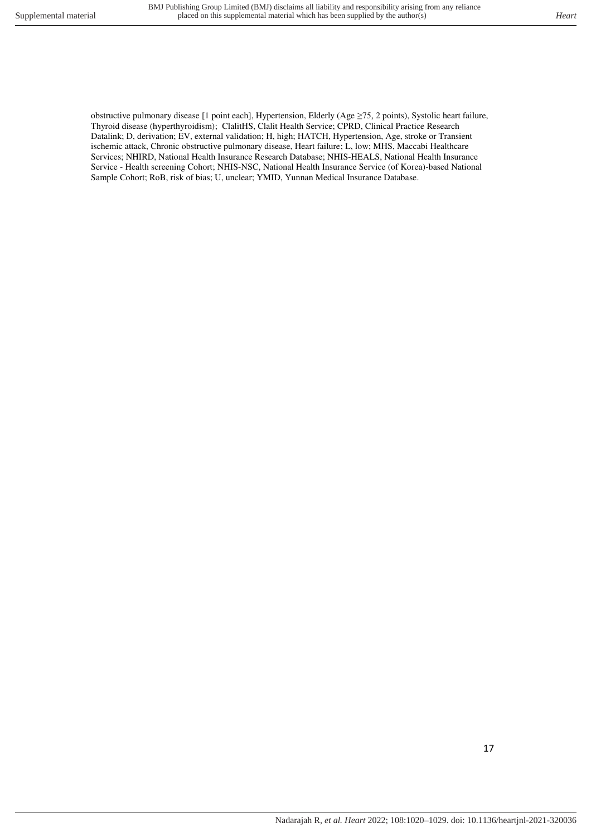obstructive pulmonary disease [1 point each], Hypertension, Elderly (Age ≥75, 2 points), Systolic heart failure, Thyroid disease (hyperthyroidism); ClalitHS, Clalit Health Service; CPRD, Clinical Practice Research Datalink; D, derivation; EV, external validation; H, high; HATCH, Hypertension, Age, stroke or Transient ischemic attack, Chronic obstructive pulmonary disease, Heart failure; L, low; MHS, Maccabi Healthcare Services; NHIRD, National Health Insurance Research Database; NHIS-HEALS, National Health Insurance Service - Health screening Cohort; NHIS-NSC, National Health Insurance Service (of Korea)-based National Sample Cohort; RoB, risk of bias; U, unclear; YMID, Yunnan Medical Insurance Database.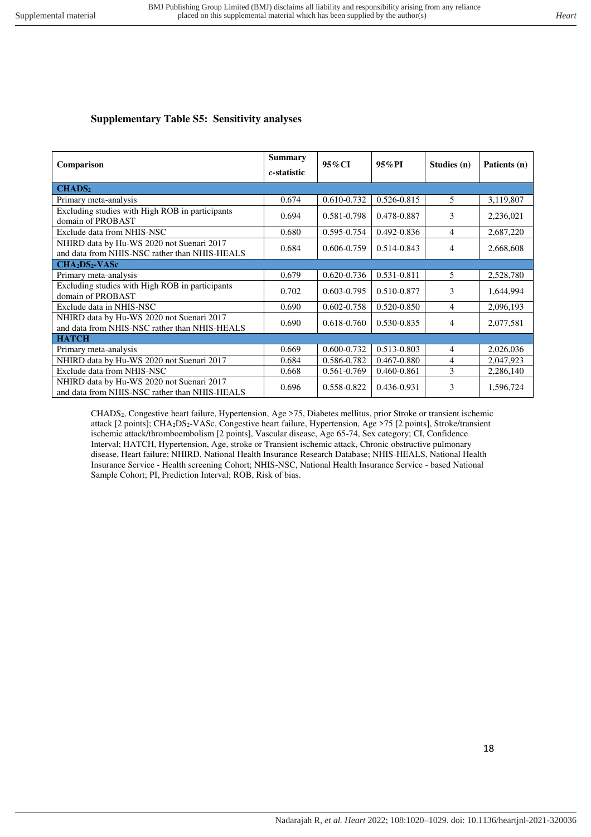## **Supplementary Table S5: Sensitivity analyses**

| Comparison                                                                                 | <b>Summary</b><br>c-statistic | 95% CI          | $95\%$ PI       | Studies (n) | Patients (n) |
|--------------------------------------------------------------------------------------------|-------------------------------|-----------------|-----------------|-------------|--------------|
| CHADS <sub>2</sub>                                                                         |                               |                 |                 |             |              |
| Primary meta-analysis                                                                      | 0.674                         | $0.610 - 0.732$ | $0.526 - 0.815$ | 5.          | 3,119,807    |
| Excluding studies with High ROB in participants<br>domain of PROBAST                       | 0.694                         | 0.581-0.798     | 0.478-0.887     | 3           | 2,236,021    |
| Exclude data from NHIS-NSC                                                                 | 0.680                         | 0.595-0.754     | 0.492-0.836     | 4           | 2,687,220    |
| NHIRD data by Hu-WS 2020 not Suenari 2017<br>and data from NHIS-NSC rather than NHIS-HEALS | 0.684                         | 0.606-0.759     | $0.514 - 0.843$ | 4           | 2,668,608    |
| $CHA2DS2-VASc$                                                                             |                               |                 |                 |             |              |
| Primary meta-analysis                                                                      | 0.679                         | $0.620 - 0.736$ | $0.531 - 0.811$ | 5           | 2,528,780    |
| Excluding studies with High ROB in participants<br>domain of PROBAST                       | 0.702                         | 0.603-0.795     | 0.510-0.877     | 3           | 1,644,994    |
| Exclude data in NHIS-NSC                                                                   | 0.690                         | 0.602-0.758     | 0.520-0.850     | 4           | 2,096,193    |
| NHIRD data by Hu-WS 2020 not Suenari 2017<br>and data from NHIS-NSC rather than NHIS-HEALS | 0.690                         | 0.618-0.760     | 0.530-0.835     | 4           | 2,077,581    |
| <b>HATCH</b>                                                                               |                               |                 |                 |             |              |
| Primary meta-analysis                                                                      | 0.669                         | 0.600-0.732     | 0.513-0.803     | 4           | 2,026,036    |
| NHIRD data by Hu-WS 2020 not Suenari 2017                                                  | 0.684                         | 0.586-0.782     | 0.467-0.880     | 4           | 2,047,923    |
| Exclude data from NHIS-NSC                                                                 | 0.668                         | 0.561-0.769     | 0.460-0.861     | 3           | 2,286,140    |
| NHIRD data by Hu-WS 2020 not Suenari 2017<br>and data from NHIS-NSC rather than NHIS-HEALS | 0.696                         | 0.558-0.822     | 0.436-0.931     | 3           | 1,596,724    |

CHADS2, Congestive heart failure, Hypertension, Age >75, Diabetes mellitus, prior Stroke or transient ischemic attack [2 points]; CHA2DS2-VASc, Congestive heart failure, Hypertension, Age >75 [2 points], Stroke/transient ischemic attack/thromboembolism [2 points], Vascular disease, Age 65-74, Sex category; CI, Confidence Interval; HATCH, Hypertension, Age, stroke or Transient ischemic attack, Chronic obstructive pulmonary disease, Heart failure; NHIRD, National Health Insurance Research Database; NHIS-HEALS, National Health Insurance Service - Health screening Cohort; NHIS-NSC, National Health Insurance Service - based National Sample Cohort; PI, Prediction Interval; ROB, Risk of bias.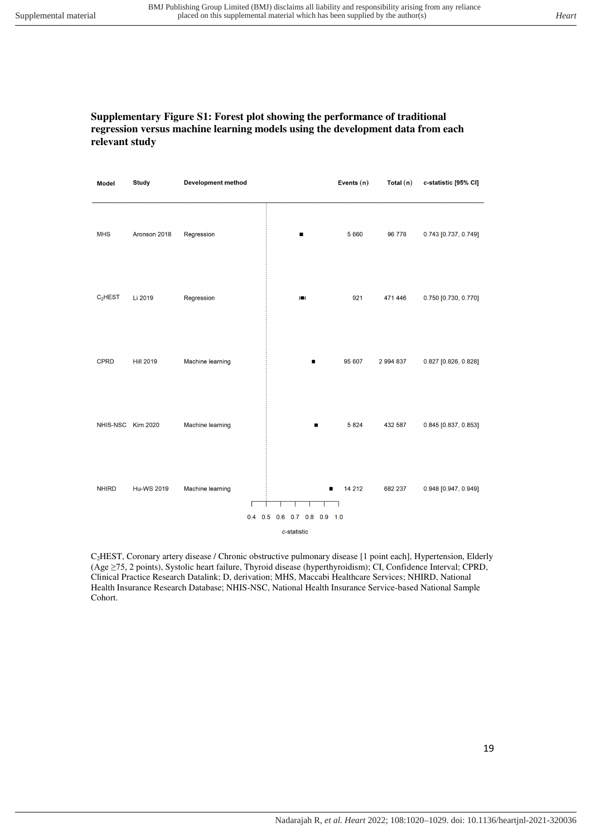#### **Supplementary Figure S1: Forest plot showing the performance of traditional regression versus machine learning models using the development data from each relevant study**

| <b>Model</b>        | <b>Study</b>      | <b>Development method</b> |                                  | Events $(n)$ | Total $(n)$ | c-statistic [95% CI] |
|---------------------|-------------------|---------------------------|----------------------------------|--------------|-------------|----------------------|
| <b>MHS</b>          | Aronson 2018      | Regression                | ۰                                | 5 6 6 0      | 96 778      | 0.743 [0.737, 0.749] |
| C <sub>2</sub> HEST | Li 2019           | Regression                | HЩ                               | 921          | 471 446     | 0.750 [0.730, 0.770] |
| <b>CPRD</b>         | <b>Hill 2019</b>  | Machine learning          | ٠                                | 95 607       | 2 994 837   | 0.827 [0.826, 0.828] |
| NHIS-NSC            | Kim 2020          | Machine learning          | ■                                | 5 8 2 4      | 432 587     | 0.845 [0.837, 0.853] |
| <b>NHIRD</b>        | <b>Hu-WS 2019</b> | Machine learning          | ٠<br>0.4 0.5 0.6 0.7 0.8 0.9 1.0 | 14 212       | 682 237     | 0.948 [0.947, 0.949] |
|                     |                   |                           | c-statistic                      |              |             |                      |

C2HEST, Coronary artery disease / Chronic obstructive pulmonary disease [1 point each], Hypertension, Elderly (Age ≥75, 2 points), Systolic heart failure, Thyroid disease (hyperthyroidism); CI, Confidence Interval; CPRD, Clinical Practice Research Datalink; D, derivation; MHS, Maccabi Healthcare Services; NHIRD, National Health Insurance Research Database; NHIS-NSC, National Health Insurance Service-based National Sample Cohort.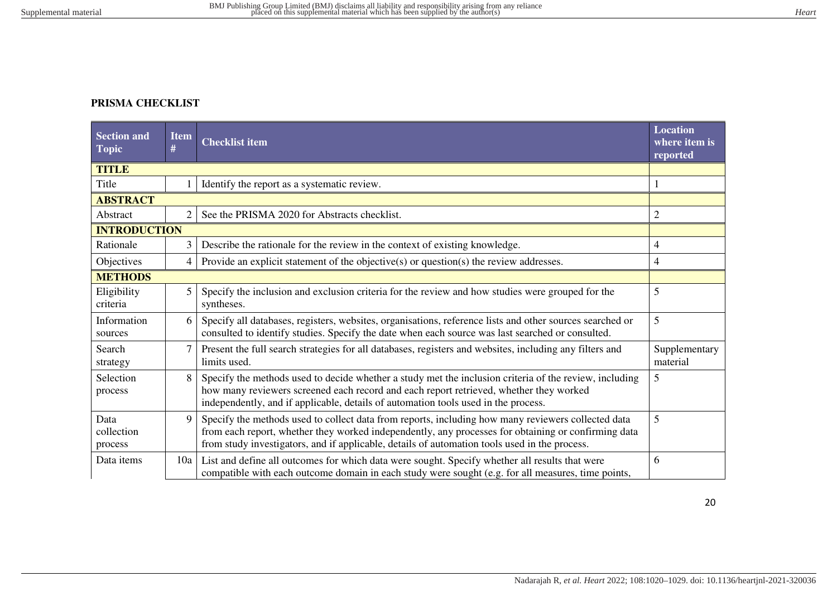# **PRISMA CHECKLIST**

| <b>Section and</b><br><b>Topic</b> | <b>Item</b><br># | <b>Checklist item</b>                                                                                                                                                                                                                                                                                      | <b>Location</b><br>where item is<br>reported |
|------------------------------------|------------------|------------------------------------------------------------------------------------------------------------------------------------------------------------------------------------------------------------------------------------------------------------------------------------------------------------|----------------------------------------------|
| <b>TITLE</b>                       |                  |                                                                                                                                                                                                                                                                                                            |                                              |
| Title                              |                  | Identify the report as a systematic review.                                                                                                                                                                                                                                                                |                                              |
| <b>ABSTRACT</b>                    |                  |                                                                                                                                                                                                                                                                                                            |                                              |
| Abstract                           | $\overline{2}$   | See the PRISMA 2020 for Abstracts checklist.                                                                                                                                                                                                                                                               | $\overline{c}$                               |
| <b>INTRODUCTION</b>                |                  |                                                                                                                                                                                                                                                                                                            |                                              |
| Rationale                          | 3                | Describe the rationale for the review in the context of existing knowledge.                                                                                                                                                                                                                                | 4                                            |
| Objectives                         | 4                | Provide an explicit statement of the objective( $s$ ) or question( $s$ ) the review addresses.                                                                                                                                                                                                             | 4                                            |
| <b>METHODS</b>                     |                  |                                                                                                                                                                                                                                                                                                            |                                              |
| Eligibility<br>criteria            | 5                | Specify the inclusion and exclusion criteria for the review and how studies were grouped for the<br>syntheses.                                                                                                                                                                                             | 5                                            |
| Information<br>sources             | 6                | Specify all databases, registers, websites, organisations, reference lists and other sources searched or<br>consulted to identify studies. Specify the date when each source was last searched or consulted.                                                                                               | 5                                            |
| Search<br>strategy                 |                  | Present the full search strategies for all databases, registers and websites, including any filters and<br>limits used.                                                                                                                                                                                    | Supplementary<br>material                    |
| Selection<br>process               | 8                | Specify the methods used to decide whether a study met the inclusion criteria of the review, including<br>how many reviewers screened each record and each report retrieved, whether they worked<br>independently, and if applicable, details of automation tools used in the process.                     | 5                                            |
| Data<br>collection<br>process      | 9                | Specify the methods used to collect data from reports, including how many reviewers collected data<br>from each report, whether they worked independently, any processes for obtaining or confirming data<br>from study investigators, and if applicable, details of automation tools used in the process. | 5                                            |
| Data items                         | 10a              | List and define all outcomes for which data were sought. Specify whether all results that were<br>compatible with each outcome domain in each study were sought (e.g. for all measures, time points,                                                                                                       | 6                                            |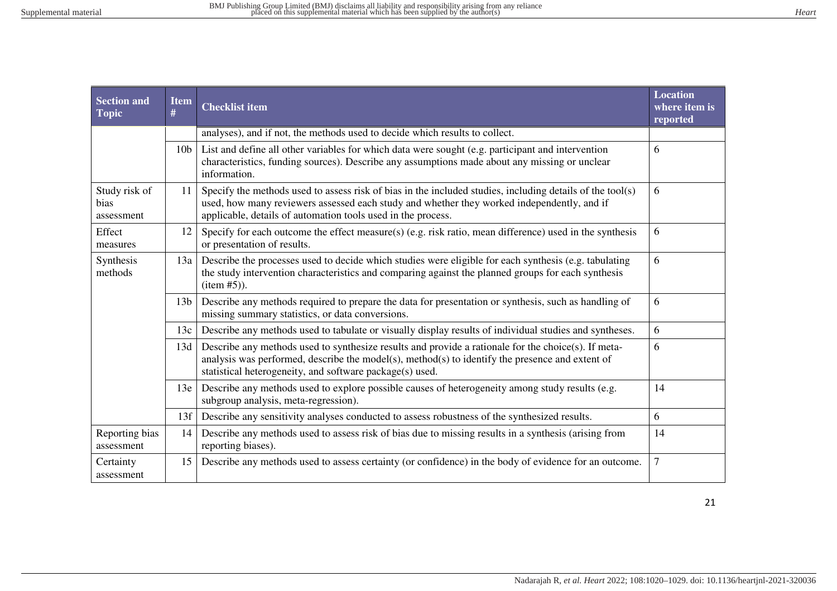| <b>Section and</b><br><b>Topic</b>  | <b>Item</b><br># | <b>Location</b><br><b>Checklist item</b><br>where item is<br>reported                                                                                                                                                                                                        |                |  |  |  |
|-------------------------------------|------------------|------------------------------------------------------------------------------------------------------------------------------------------------------------------------------------------------------------------------------------------------------------------------------|----------------|--|--|--|
|                                     |                  | analyses), and if not, the methods used to decide which results to collect.                                                                                                                                                                                                  |                |  |  |  |
|                                     | 10 <sub>b</sub>  | List and define all other variables for which data were sought (e.g. participant and intervention<br>characteristics, funding sources). Describe any assumptions made about any missing or unclear<br>information.                                                           | 6              |  |  |  |
| Study risk of<br>bias<br>assessment | 11               | Specify the methods used to assess risk of bias in the included studies, including details of the tool(s)<br>6<br>used, how many reviewers assessed each study and whether they worked independently, and if<br>applicable, details of automation tools used in the process. |                |  |  |  |
| Effect<br>measures                  | 12               | Specify for each outcome the effect measure(s) (e.g. risk ratio, mean difference) used in the synthesis<br>6<br>or presentation of results.                                                                                                                                  |                |  |  |  |
| Synthesis<br>methods                | 13a              | Describe the processes used to decide which studies were eligible for each synthesis (e.g. tabulating<br>the study intervention characteristics and comparing against the planned groups for each synthesis<br>item #5).                                                     | 6              |  |  |  |
|                                     | 13 <sub>b</sub>  | Describe any methods required to prepare the data for presentation or synthesis, such as handling of<br>missing summary statistics, or data conversions.                                                                                                                     | 6              |  |  |  |
|                                     | 13c              | Describe any methods used to tabulate or visually display results of individual studies and syntheses.                                                                                                                                                                       | 6              |  |  |  |
|                                     | 13d              | Describe any methods used to synthesize results and provide a rationale for the choice(s). If meta-<br>analysis was performed, describe the model(s), method(s) to identify the presence and extent of<br>statistical heterogeneity, and software package(s) used.           | 6              |  |  |  |
|                                     | 13e              | Describe any methods used to explore possible causes of heterogeneity among study results (e.g.<br>subgroup analysis, meta-regression).                                                                                                                                      | 14             |  |  |  |
|                                     | 13f              | Describe any sensitivity analyses conducted to assess robustness of the synthesized results.                                                                                                                                                                                 | 6              |  |  |  |
| Reporting bias<br>assessment        | 14               | Describe any methods used to assess risk of bias due to missing results in a synthesis (arising from<br>reporting biases).                                                                                                                                                   | 14             |  |  |  |
| Certainty<br>assessment             | 15               | Describe any methods used to assess certainty (or confidence) in the body of evidence for an outcome.                                                                                                                                                                        | $\overline{7}$ |  |  |  |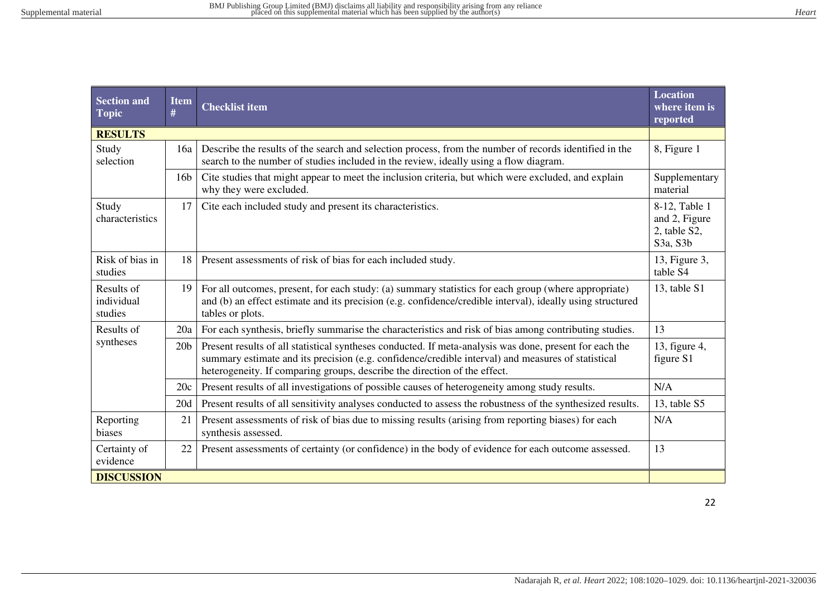| <b>Section and</b><br><b>Topic</b>  | <b>Item</b><br># | <b>Checklist item</b>                                                                                                                                                                                                                                                                      | <b>Location</b><br>where item is<br>reported |  |  |  |
|-------------------------------------|------------------|--------------------------------------------------------------------------------------------------------------------------------------------------------------------------------------------------------------------------------------------------------------------------------------------|----------------------------------------------|--|--|--|
| <b>RESULTS</b>                      |                  |                                                                                                                                                                                                                                                                                            |                                              |  |  |  |
| Study<br>selection                  | 16a              | Describe the results of the search and selection process, from the number of records identified in the<br>search to the number of studies included in the review, ideally using a flow diagram.                                                                                            | 8, Figure 1                                  |  |  |  |
|                                     | 16 <sub>b</sub>  | Cite studies that might appear to meet the inclusion criteria, but which were excluded, and explain<br>why they were excluded.                                                                                                                                                             | Supplementary<br>material                    |  |  |  |
| Study<br>characteristics            | 17               | Cite each included study and present its characteristics.<br>8-12, Table 1<br>and 2, Figure<br>2, table S2,<br>S3a, S3b                                                                                                                                                                    |                                              |  |  |  |
| Risk of bias in<br>studies          | 18               | Present assessments of risk of bias for each included study.                                                                                                                                                                                                                               | 13, Figure 3,<br>table S4                    |  |  |  |
| Results of<br>individual<br>studies | 19               | For all outcomes, present, for each study: (a) summary statistics for each group (where appropriate)<br>and (b) an effect estimate and its precision (e.g. confidence/credible interval), ideally using structured<br>tables or plots.                                                     | 13, table S1                                 |  |  |  |
| Results of                          | 20a              | For each synthesis, briefly summarise the characteristics and risk of bias among contributing studies.                                                                                                                                                                                     | 13                                           |  |  |  |
| syntheses                           | 20 <sub>b</sub>  | Present results of all statistical syntheses conducted. If meta-analysis was done, present for each the<br>summary estimate and its precision (e.g. confidence/credible interval) and measures of statistical<br>heterogeneity. If comparing groups, describe the direction of the effect. | 13, figure 4,<br>figure S1                   |  |  |  |
|                                     | 20c              | Present results of all investigations of possible causes of heterogeneity among study results.                                                                                                                                                                                             | N/A                                          |  |  |  |
|                                     | 20d              | Present results of all sensitivity analyses conducted to assess the robustness of the synthesized results.                                                                                                                                                                                 | 13, table S5                                 |  |  |  |
| Reporting<br>biases                 | 21               | Present assessments of risk of bias due to missing results (arising from reporting biases) for each<br>synthesis assessed.                                                                                                                                                                 | N/A                                          |  |  |  |
| Certainty of<br>evidence            | 22               | Present assessments of certainty (or confidence) in the body of evidence for each outcome assessed.                                                                                                                                                                                        | 13                                           |  |  |  |
| <b>DISCUSSION</b>                   |                  |                                                                                                                                                                                                                                                                                            |                                              |  |  |  |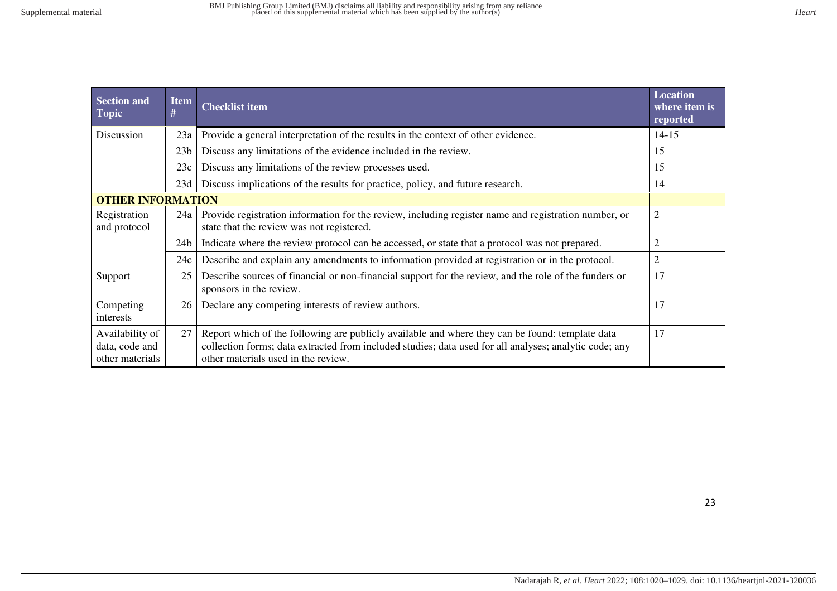| <b>Section and</b><br><b>Topic</b>                   | <b>Item</b><br># | <b>Checklist item</b>                                                                                                                                                                                                                            | <b>Location</b><br>where item is<br>reported |
|------------------------------------------------------|------------------|--------------------------------------------------------------------------------------------------------------------------------------------------------------------------------------------------------------------------------------------------|----------------------------------------------|
| Discussion                                           | 23a              | Provide a general interpretation of the results in the context of other evidence.                                                                                                                                                                | $14 - 15$                                    |
|                                                      | 23 <sub>b</sub>  | Discuss any limitations of the evidence included in the review.                                                                                                                                                                                  | 15                                           |
|                                                      | 23c              | Discuss any limitations of the review processes used.                                                                                                                                                                                            | 15                                           |
|                                                      | 23d              | Discuss implications of the results for practice, policy, and future research.                                                                                                                                                                   | 14                                           |
| <b>OTHER INFORMATION</b>                             |                  |                                                                                                                                                                                                                                                  |                                              |
| Registration<br>and protocol                         | 24a              | Provide registration information for the review, including register name and registration number, or<br>state that the review was not registered.                                                                                                | $\overline{2}$                               |
|                                                      | 24 <sub>b</sub>  | Indicate where the review protocol can be accessed, or state that a protocol was not prepared.                                                                                                                                                   | $\overline{2}$                               |
|                                                      | 24c              | Describe and explain any amendments to information provided at registration or in the protocol.                                                                                                                                                  | $\overline{2}$                               |
| Support                                              | 25               | Describe sources of financial or non-financial support for the review, and the role of the funders or<br>sponsors in the review.                                                                                                                 | 17                                           |
| Competing<br>interests                               | 26               | Declare any competing interests of review authors.                                                                                                                                                                                               | 17                                           |
| Availability of<br>data, code and<br>other materials | 27               | Report which of the following are publicly available and where they can be found: template data<br>collection forms; data extracted from included studies; data used for all analyses; analytic code; any<br>other materials used in the review. | 17                                           |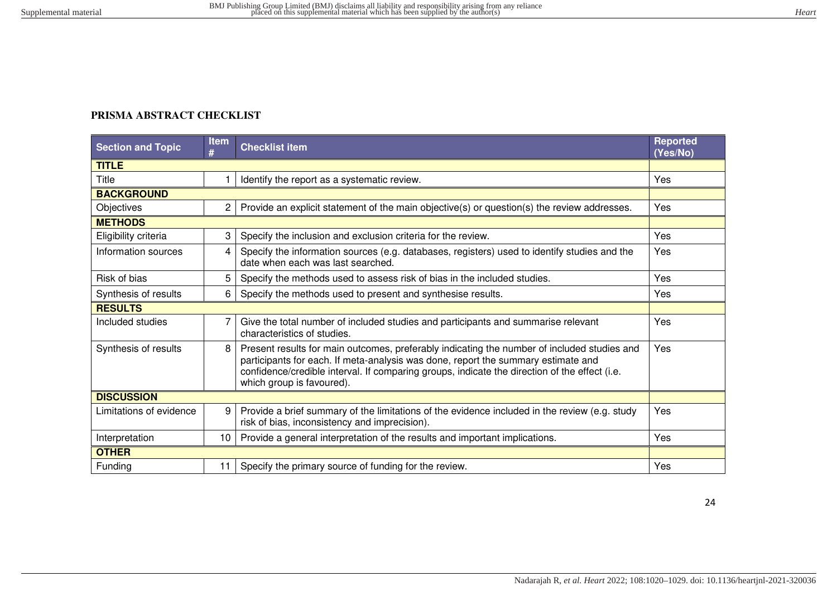# **PRISMA ABSTRACT CHECKLIST**

| <b>Section and Topic</b> | <b>Item</b><br># | <b>Checklist item</b>                                                                                                                                                                                                                                                                                          | <b>Reported</b><br>(Yes/No) |
|--------------------------|------------------|----------------------------------------------------------------------------------------------------------------------------------------------------------------------------------------------------------------------------------------------------------------------------------------------------------------|-----------------------------|
| <b>TITLE</b>             |                  |                                                                                                                                                                                                                                                                                                                |                             |
| Title                    |                  | Identify the report as a systematic review.                                                                                                                                                                                                                                                                    | Yes                         |
| <b>BACKGROUND</b>        |                  |                                                                                                                                                                                                                                                                                                                |                             |
| Objectives               | $\overline{c}$   | Provide an explicit statement of the main objective(s) or question(s) the review addresses.                                                                                                                                                                                                                    | <b>Yes</b>                  |
| <b>METHODS</b>           |                  |                                                                                                                                                                                                                                                                                                                |                             |
| Eligibility criteria     | 3                | Specify the inclusion and exclusion criteria for the review.                                                                                                                                                                                                                                                   | Yes                         |
| Information sources      | 4                | Specify the information sources (e.g. databases, registers) used to identify studies and the<br>date when each was last searched.                                                                                                                                                                              | Yes                         |
| Risk of bias             | 5                | Specify the methods used to assess risk of bias in the included studies.                                                                                                                                                                                                                                       | Yes                         |
| Synthesis of results     | 6                | Specify the methods used to present and synthesise results.                                                                                                                                                                                                                                                    | Yes                         |
| <b>RESULTS</b>           |                  |                                                                                                                                                                                                                                                                                                                |                             |
| Included studies         | 7                | Give the total number of included studies and participants and summarise relevant<br>characteristics of studies.                                                                                                                                                                                               | Yes                         |
| Synthesis of results     | 8                | Present results for main outcomes, preferably indicating the number of included studies and<br>participants for each. If meta-analysis was done, report the summary estimate and<br>confidence/credible interval. If comparing groups, indicate the direction of the effect (i.e.<br>which group is favoured). | Yes                         |
| <b>DISCUSSION</b>        |                  |                                                                                                                                                                                                                                                                                                                |                             |
| Limitations of evidence  | 9                | Provide a brief summary of the limitations of the evidence included in the review (e.g. study<br>risk of bias, inconsistency and imprecision).                                                                                                                                                                 | Yes                         |
| Interpretation           | 10               | Provide a general interpretation of the results and important implications.                                                                                                                                                                                                                                    | Yes                         |
| <b>OTHER</b>             |                  |                                                                                                                                                                                                                                                                                                                |                             |
| Funding                  | 11               | Specify the primary source of funding for the review.                                                                                                                                                                                                                                                          | Yes                         |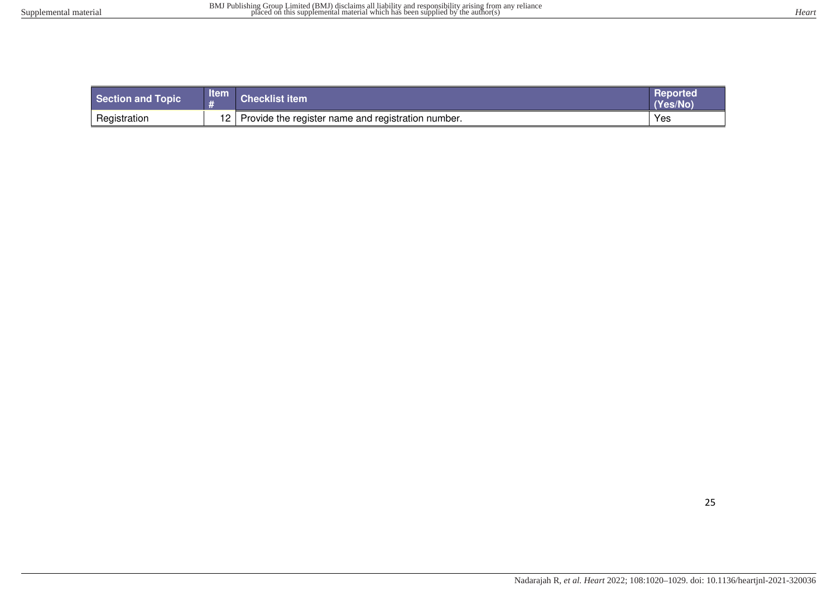| Section and Topic | <b>Item</b>     | <b>Checklist item</b>                              | <b>Reported</b><br>(Yes/No |
|-------------------|-----------------|----------------------------------------------------|----------------------------|
| Registration      | 12 <sup>2</sup> | Provide the register name and registration number. | Yes                        |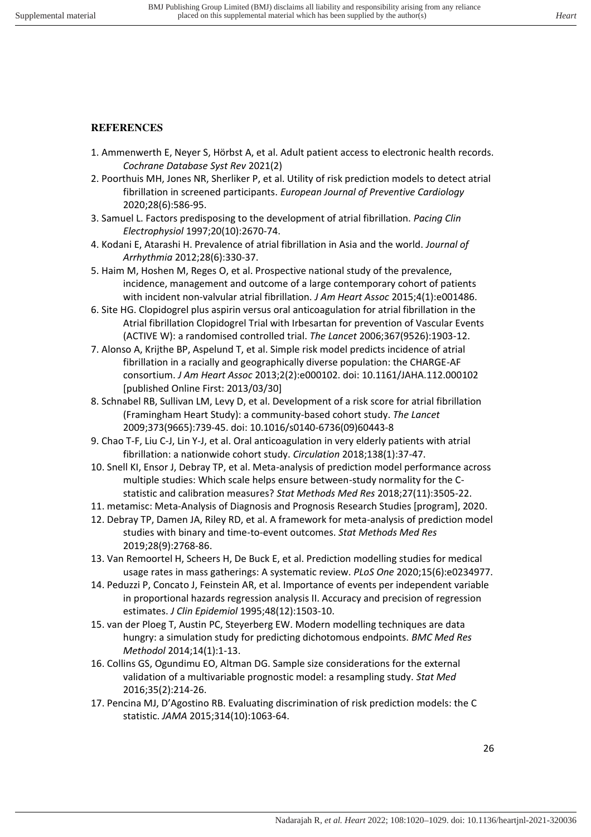# **REFERENCES**

- 1. Ammenwerth E, Neyer S, Hörbst A, et al. Adult patient access to electronic health records. *Cochrane Database Syst Rev* 2021(2)
- 2. Poorthuis MH, Jones NR, Sherliker P, et al. Utility of risk prediction models to detect atrial fibrillation in screened participants. *European Journal of Preventive Cardiology* 2020;28(6):586-95.
- 3. Samuel L. Factors predisposing to the development of atrial fibrillation. *Pacing Clin Electrophysiol* 1997;20(10):2670-74.
- 4. Kodani E, Atarashi H. Prevalence of atrial fibrillation in Asia and the world. *Journal of Arrhythmia* 2012;28(6):330-37.
- 5. Haim M, Hoshen M, Reges O, et al. Prospective national study of the prevalence, incidence, management and outcome of a large contemporary cohort of patients with incident non‐valvular atrial fibrillation. *J Am Heart Assoc* 2015;4(1):e001486.
- 6. Site HG. Clopidogrel plus aspirin versus oral anticoagulation for atrial fibrillation in the Atrial fibrillation Clopidogrel Trial with Irbesartan for prevention of Vascular Events (ACTIVE W): a randomised controlled trial. *The Lancet* 2006;367(9526):1903-12.
- 7. Alonso A, Krijthe BP, Aspelund T, et al. Simple risk model predicts incidence of atrial fibrillation in a racially and geographically diverse population: the CHARGE-AF consortium. *J Am Heart Assoc* 2013;2(2):e000102. doi: 10.1161/JAHA.112.000102 [published Online First: 2013/03/30]
- 8. Schnabel RB, Sullivan LM, Levy D, et al. Development of a risk score for atrial fibrillation (Framingham Heart Study): a community-based cohort study. *The Lancet* 2009;373(9665):739-45. doi: 10.1016/s0140-6736(09)60443-8
- 9. Chao T-F, Liu C-J, Lin Y-J, et al. Oral anticoagulation in very elderly patients with atrial fibrillation: a nationwide cohort study. *Circulation* 2018;138(1):37-47.
- 10. Snell KI, Ensor J, Debray TP, et al. Meta-analysis of prediction model performance across multiple studies: Which scale helps ensure between-study normality for the Cstatistic and calibration measures? *Stat Methods Med Res* 2018;27(11):3505-22.
- 11. metamisc: Meta-Analysis of Diagnosis and Prognosis Research Studies [program], 2020.
- 12. Debray TP, Damen JA, Riley RD, et al. A framework for meta-analysis of prediction model studies with binary and time-to-event outcomes. *Stat Methods Med Res* 2019;28(9):2768-86.
- 13. Van Remoortel H, Scheers H, De Buck E, et al. Prediction modelling studies for medical usage rates in mass gatherings: A systematic review. *PLoS One* 2020;15(6):e0234977.
- 14. Peduzzi P, Concato J, Feinstein AR, et al. Importance of events per independent variable in proportional hazards regression analysis II. Accuracy and precision of regression estimates. *J Clin Epidemiol* 1995;48(12):1503-10.
- 15. van der Ploeg T, Austin PC, Steyerberg EW. Modern modelling techniques are data hungry: a simulation study for predicting dichotomous endpoints. *BMC Med Res Methodol* 2014;14(1):1-13.
- 16. Collins GS, Ogundimu EO, Altman DG. Sample size considerations for the external validation of a multivariable prognostic model: a resampling study. *Stat Med* 2016;35(2):214-26.
- 17. Pencina MJ, D'Agostino RB. Evaluating discrimination of risk prediction models: the C statistic. *JAMA* 2015;314(10):1063-64.